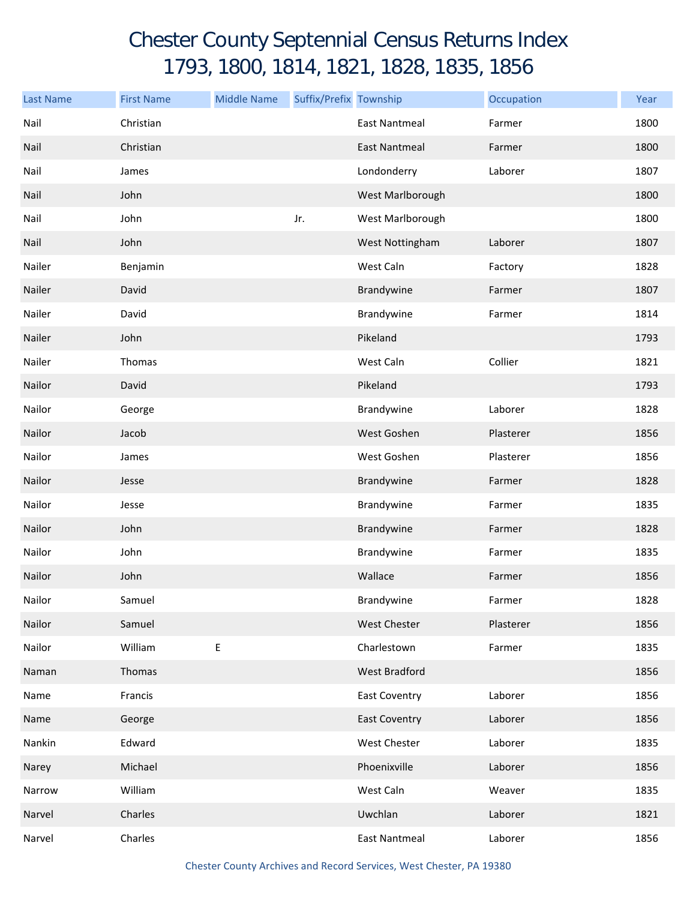## Chester County Septennial Census Returns Index 1793, 1800, 1814, 1821, 1828, 1835, 1856

| <b>Last Name</b> | <b>First Name</b> | <b>Middle Name</b> | Suffix/Prefix Township |                      | Occupation | Year |
|------------------|-------------------|--------------------|------------------------|----------------------|------------|------|
| Nail             | Christian         |                    |                        | <b>East Nantmeal</b> | Farmer     | 1800 |
| Nail             | Christian         |                    |                        | <b>East Nantmeal</b> | Farmer     | 1800 |
| Nail             | James             |                    |                        | Londonderry          | Laborer    | 1807 |
| Nail             | John              |                    |                        | West Marlborough     |            | 1800 |
| Nail             | John              |                    | Jr.                    | West Marlborough     |            | 1800 |
| Nail             | John              |                    |                        | West Nottingham      | Laborer    | 1807 |
| Nailer           | Benjamin          |                    |                        | West Caln            | Factory    | 1828 |
| Nailer           | David             |                    |                        | Brandywine           | Farmer     | 1807 |
| Nailer           | David             |                    |                        | Brandywine           | Farmer     | 1814 |
| Nailer           | John              |                    |                        | Pikeland             |            | 1793 |
| Nailer           | Thomas            |                    |                        | West Caln            | Collier    | 1821 |
| Nailor           | David             |                    |                        | Pikeland             |            | 1793 |
| Nailor           | George            |                    |                        | Brandywine           | Laborer    | 1828 |
| Nailor           | Jacob             |                    |                        | West Goshen          | Plasterer  | 1856 |
| Nailor           | James             |                    |                        | West Goshen          | Plasterer  | 1856 |
| Nailor           | Jesse             |                    |                        | Brandywine           | Farmer     | 1828 |
| Nailor           | Jesse             |                    |                        | Brandywine           | Farmer     | 1835 |
| Nailor           | John              |                    |                        | Brandywine           | Farmer     | 1828 |
| Nailor           | John              |                    |                        | Brandywine           | Farmer     | 1835 |
| Nailor           | John              |                    |                        | Wallace              | Farmer     | 1856 |
| Nailor           | Samuel            |                    |                        | Brandywine           | Farmer     | 1828 |
| Nailor           | Samuel            |                    |                        | West Chester         | Plasterer  | 1856 |
| Nailor           | William           | E                  |                        | Charlestown          | Farmer     | 1835 |
| Naman            | Thomas            |                    |                        | West Bradford        |            | 1856 |
| Name             | Francis           |                    |                        | <b>East Coventry</b> | Laborer    | 1856 |
| Name             | George            |                    |                        | <b>East Coventry</b> | Laborer    | 1856 |
| Nankin           | Edward            |                    |                        | <b>West Chester</b>  | Laborer    | 1835 |
| Narey            | Michael           |                    |                        | Phoenixville         | Laborer    | 1856 |
| Narrow           | William           |                    |                        | West Caln            | Weaver     | 1835 |
| Narvel           | Charles           |                    |                        | Uwchlan              | Laborer    | 1821 |
| Narvel           | Charles           |                    |                        | <b>East Nantmeal</b> | Laborer    | 1856 |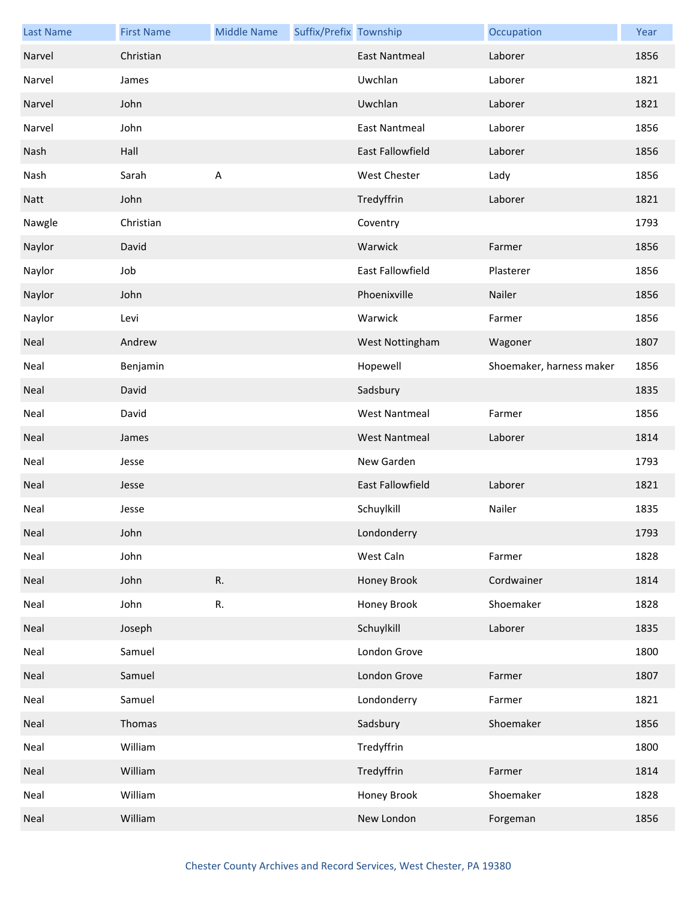| <b>Last Name</b> | <b>First Name</b> | <b>Middle Name</b> | Suffix/Prefix Township |                         | Occupation               | Year |
|------------------|-------------------|--------------------|------------------------|-------------------------|--------------------------|------|
| Narvel           | Christian         |                    |                        | <b>East Nantmeal</b>    | Laborer                  | 1856 |
| Narvel           | James             |                    |                        | Uwchlan                 | Laborer                  | 1821 |
| Narvel           | John              |                    |                        | Uwchlan                 | Laborer                  | 1821 |
| Narvel           | John              |                    |                        | <b>East Nantmeal</b>    | Laborer                  | 1856 |
| Nash             | Hall              |                    |                        | East Fallowfield        | Laborer                  | 1856 |
| Nash             | Sarah             | $\sf A$            |                        | West Chester            | Lady                     | 1856 |
| Natt             | John              |                    |                        | Tredyffrin              | Laborer                  | 1821 |
| Nawgle           | Christian         |                    |                        | Coventry                |                          | 1793 |
| Naylor           | David             |                    |                        | Warwick                 | Farmer                   | 1856 |
| Naylor           | Job               |                    |                        | East Fallowfield        | Plasterer                | 1856 |
| Naylor           | John              |                    |                        | Phoenixville            | Nailer                   | 1856 |
| Naylor           | Levi              |                    |                        | Warwick                 | Farmer                   | 1856 |
| Neal             | Andrew            |                    |                        | West Nottingham         | Wagoner                  | 1807 |
| Neal             | Benjamin          |                    |                        | Hopewell                | Shoemaker, harness maker | 1856 |
| Neal             | David             |                    |                        | Sadsbury                |                          | 1835 |
| Neal             | David             |                    |                        | <b>West Nantmeal</b>    | Farmer                   | 1856 |
| Neal             | James             |                    |                        | <b>West Nantmeal</b>    | Laborer                  | 1814 |
| Neal             | Jesse             |                    |                        | New Garden              |                          | 1793 |
| Neal             | Jesse             |                    |                        | <b>East Fallowfield</b> | Laborer                  | 1821 |
| Neal             | Jesse             |                    |                        | Schuylkill              | Nailer                   | 1835 |
| Neal             | John              |                    |                        | Londonderry             |                          | 1793 |
| Neal             | John              |                    |                        | West Caln               | Farmer                   | 1828 |
| Neal             | John              | R.                 |                        | Honey Brook             | Cordwainer               | 1814 |
| Neal             | John              | R.                 |                        | Honey Brook             | Shoemaker                | 1828 |
| Neal             | Joseph            |                    |                        | Schuylkill              | Laborer                  | 1835 |
| Neal             | Samuel            |                    |                        | London Grove            |                          | 1800 |
| Neal             | Samuel            |                    |                        | London Grove            | Farmer                   | 1807 |
| Neal             | Samuel            |                    |                        | Londonderry             | Farmer                   | 1821 |
| Neal             | Thomas            |                    |                        | Sadsbury                | Shoemaker                | 1856 |
| Neal             | William           |                    |                        | Tredyffrin              |                          | 1800 |
| Neal             | William           |                    |                        | Tredyffrin              | Farmer                   | 1814 |
| Neal             | William           |                    |                        | Honey Brook             | Shoemaker                | 1828 |
| Neal             | William           |                    |                        | New London              | Forgeman                 | 1856 |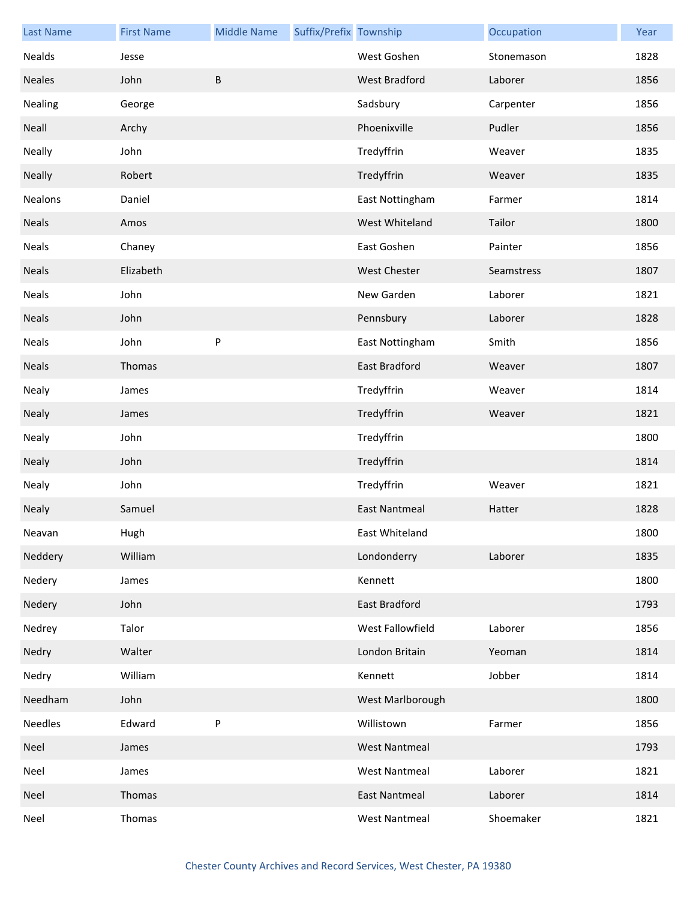| <b>Last Name</b> | <b>First Name</b> | <b>Middle Name</b> | Suffix/Prefix Township |                      | Occupation | Year |
|------------------|-------------------|--------------------|------------------------|----------------------|------------|------|
| Nealds           | Jesse             |                    |                        | West Goshen          | Stonemason | 1828 |
| <b>Neales</b>    | John              | B                  |                        | <b>West Bradford</b> | Laborer    | 1856 |
| Nealing          | George            |                    |                        | Sadsbury             | Carpenter  | 1856 |
| Neall            | Archy             |                    |                        | Phoenixville         | Pudler     | 1856 |
| Neally           | John              |                    |                        | Tredyffrin           | Weaver     | 1835 |
| <b>Neally</b>    | Robert            |                    |                        | Tredyffrin           | Weaver     | 1835 |
| Nealons          | Daniel            |                    |                        | East Nottingham      | Farmer     | 1814 |
| <b>Neals</b>     | Amos              |                    |                        | West Whiteland       | Tailor     | 1800 |
| <b>Neals</b>     | Chaney            |                    |                        | East Goshen          | Painter    | 1856 |
| <b>Neals</b>     | Elizabeth         |                    |                        | <b>West Chester</b>  | Seamstress | 1807 |
| <b>Neals</b>     | John              |                    |                        | New Garden           | Laborer    | 1821 |
| <b>Neals</b>     | John              |                    |                        | Pennsbury            | Laborer    | 1828 |
| <b>Neals</b>     | John              | P                  |                        | East Nottingham      | Smith      | 1856 |
| <b>Neals</b>     | Thomas            |                    |                        | East Bradford        | Weaver     | 1807 |
| Nealy            | James             |                    |                        | Tredyffrin           | Weaver     | 1814 |
| <b>Nealy</b>     | James             |                    |                        | Tredyffrin           | Weaver     | 1821 |
| Nealy            | John              |                    |                        | Tredyffrin           |            | 1800 |
| <b>Nealy</b>     | John              |                    |                        | Tredyffrin           |            | 1814 |
| Nealy            | John              |                    |                        | Tredyffrin           | Weaver     | 1821 |
| <b>Nealy</b>     | Samuel            |                    |                        | <b>East Nantmeal</b> | Hatter     | 1828 |
| Neavan           | Hugh              |                    |                        | East Whiteland       |            | 1800 |
| Neddery          | William           |                    |                        | Londonderry          | Laborer    | 1835 |
| Nedery           | James             |                    |                        | Kennett              |            | 1800 |
| Nedery           | John              |                    |                        | East Bradford        |            | 1793 |
| Nedrey           | Talor             |                    |                        | West Fallowfield     | Laborer    | 1856 |
| Nedry            | Walter            |                    |                        | London Britain       | Yeoman     | 1814 |
| Nedry            | William           |                    |                        | Kennett              | Jobber     | 1814 |
| Needham          | John              |                    |                        | West Marlborough     |            | 1800 |
| Needles          | Edward            | P                  |                        | Willistown           | Farmer     | 1856 |
| Neel             | James             |                    |                        | <b>West Nantmeal</b> |            | 1793 |
| Neel             | James             |                    |                        | <b>West Nantmeal</b> | Laborer    | 1821 |
| Neel             | Thomas            |                    |                        | East Nantmeal        | Laborer    | 1814 |
| Neel             | Thomas            |                    |                        | <b>West Nantmeal</b> | Shoemaker  | 1821 |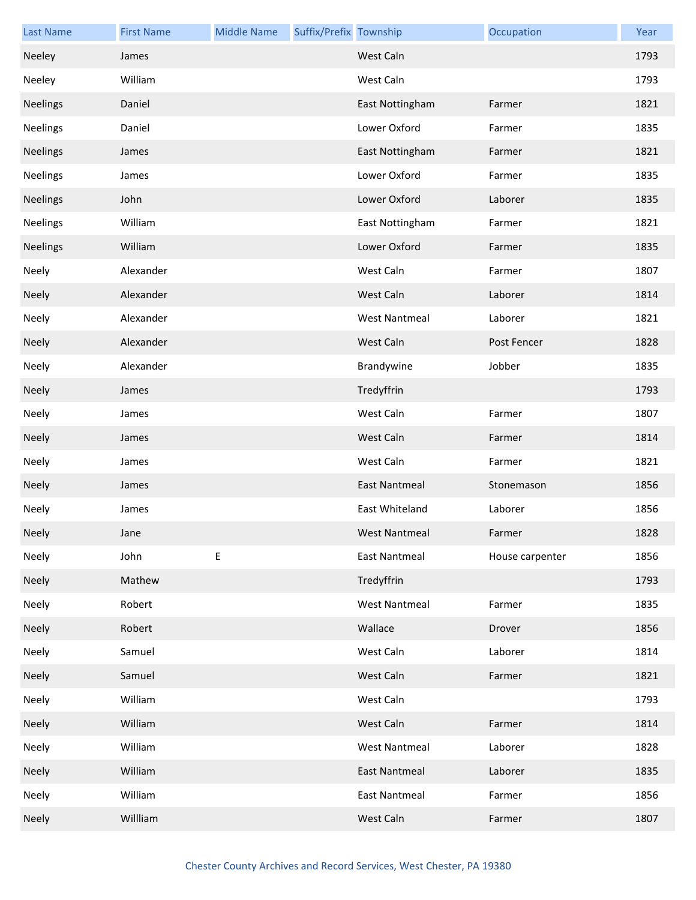| <b>Last Name</b> | <b>First Name</b> | <b>Middle Name</b> | Suffix/Prefix Township |                      | Occupation      | Year |
|------------------|-------------------|--------------------|------------------------|----------------------|-----------------|------|
| Neeley           | James             |                    |                        | West Caln            |                 | 1793 |
| Neeley           | William           |                    |                        | West Caln            |                 | 1793 |
| Neelings         | Daniel            |                    |                        | East Nottingham      | Farmer          | 1821 |
| Neelings         | Daniel            |                    |                        | Lower Oxford         | Farmer          | 1835 |
| Neelings         | James             |                    |                        | East Nottingham      | Farmer          | 1821 |
| <b>Neelings</b>  | James             |                    |                        | Lower Oxford         | Farmer          | 1835 |
| Neelings         | John              |                    |                        | Lower Oxford         | Laborer         | 1835 |
| Neelings         | William           |                    |                        | East Nottingham      | Farmer          | 1821 |
| <b>Neelings</b>  | William           |                    |                        | Lower Oxford         | Farmer          | 1835 |
| Neely            | Alexander         |                    |                        | West Caln            | Farmer          | 1807 |
| <b>Neely</b>     | Alexander         |                    |                        | West Caln            | Laborer         | 1814 |
| Neely            | Alexander         |                    |                        | <b>West Nantmeal</b> | Laborer         | 1821 |
| <b>Neely</b>     | Alexander         |                    |                        | West Caln            | Post Fencer     | 1828 |
| Neely            | Alexander         |                    |                        | Brandywine           | Jobber          | 1835 |
| Neely            | James             |                    |                        | Tredyffrin           |                 | 1793 |
| Neely            | James             |                    |                        | West Caln            | Farmer          | 1807 |
| <b>Neely</b>     | James             |                    |                        | West Caln            | Farmer          | 1814 |
| Neely            | James             |                    |                        | West Caln            | Farmer          | 1821 |
| Neely            | James             |                    |                        | <b>East Nantmeal</b> | Stonemason      | 1856 |
| Neely            | James             |                    |                        | East Whiteland       | Laborer         | 1856 |
| Neely            | Jane              |                    |                        | West Nantmeal        | Farmer          | 1828 |
| Neely            | John              | $\sf E$            |                        | <b>East Nantmeal</b> | House carpenter | 1856 |
| Neely            | Mathew            |                    |                        | Tredyffrin           |                 | 1793 |
| Neely            | Robert            |                    |                        | <b>West Nantmeal</b> | Farmer          | 1835 |
| Neely            | Robert            |                    |                        | Wallace              | Drover          | 1856 |
| Neely            | Samuel            |                    |                        | West Caln            | Laborer         | 1814 |
| Neely            | Samuel            |                    |                        | West Caln            | Farmer          | 1821 |
| Neely            | William           |                    |                        | West Caln            |                 | 1793 |
| Neely            | William           |                    |                        | West Caln            | Farmer          | 1814 |
| Neely            | William           |                    |                        | <b>West Nantmeal</b> | Laborer         | 1828 |
| Neely            | William           |                    |                        | East Nantmeal        | Laborer         | 1835 |
| Neely            | William           |                    |                        | <b>East Nantmeal</b> | Farmer          | 1856 |
| Neely            | Willliam          |                    |                        | West Caln            | Farmer          | 1807 |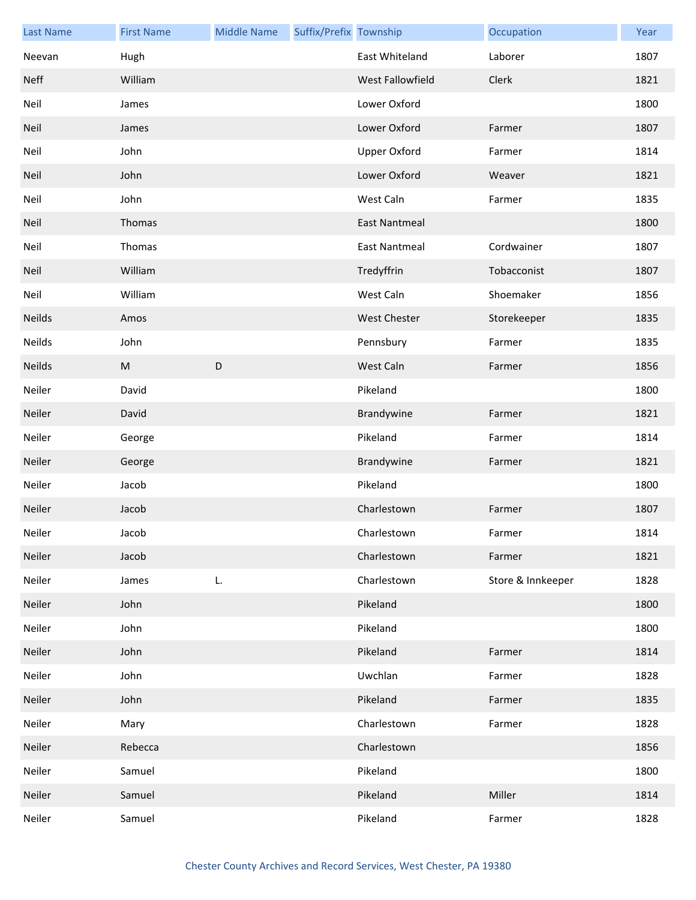| <b>Last Name</b> | <b>First Name</b> | <b>Middle Name</b> | Suffix/Prefix Township |                      | Occupation        | Year |
|------------------|-------------------|--------------------|------------------------|----------------------|-------------------|------|
| Neevan           | Hugh              |                    |                        | East Whiteland       | Laborer           | 1807 |
| <b>Neff</b>      | William           |                    |                        | West Fallowfield     | Clerk             | 1821 |
| Neil             | James             |                    |                        | Lower Oxford         |                   | 1800 |
| Neil             | James             |                    |                        | Lower Oxford         | Farmer            | 1807 |
| Neil             | John              |                    |                        | <b>Upper Oxford</b>  | Farmer            | 1814 |
| Neil             | John              |                    |                        | Lower Oxford         | Weaver            | 1821 |
| Neil             | John              |                    |                        | West Caln            | Farmer            | 1835 |
| Neil             | Thomas            |                    |                        | <b>East Nantmeal</b> |                   | 1800 |
| Neil             | Thomas            |                    |                        | <b>East Nantmeal</b> | Cordwainer        | 1807 |
| Neil             | William           |                    |                        | Tredyffrin           | Tobacconist       | 1807 |
| Neil             | William           |                    |                        | West Caln            | Shoemaker         | 1856 |
| Neilds           | Amos              |                    |                        | <b>West Chester</b>  | Storekeeper       | 1835 |
| Neilds           | John              |                    |                        | Pennsbury            | Farmer            | 1835 |
| Neilds           | ${\sf M}$         | D                  |                        | West Caln            | Farmer            | 1856 |
| Neiler           | David             |                    |                        | Pikeland             |                   | 1800 |
| Neiler           | David             |                    |                        | Brandywine           | Farmer            | 1821 |
| Neiler           | George            |                    |                        | Pikeland             | Farmer            | 1814 |
| Neiler           | George            |                    |                        | Brandywine           | Farmer            | 1821 |
| Neiler           | Jacob             |                    |                        | Pikeland             |                   | 1800 |
| Neiler           | Jacob             |                    |                        | Charlestown          | Farmer            | 1807 |
| Neiler           | Jacob             |                    |                        | Charlestown          | Farmer            | 1814 |
| Neiler           | Jacob             |                    |                        | Charlestown          | Farmer            | 1821 |
| Neiler           | James             | L.                 |                        | Charlestown          | Store & Innkeeper | 1828 |
| Neiler           | John              |                    |                        | Pikeland             |                   | 1800 |
| Neiler           | John              |                    |                        | Pikeland             |                   | 1800 |
| Neiler           | John              |                    |                        | Pikeland             | Farmer            | 1814 |
| Neiler           | John              |                    |                        | Uwchlan              | Farmer            | 1828 |
| Neiler           | John              |                    |                        | Pikeland             | Farmer            | 1835 |
| Neiler           | Mary              |                    |                        | Charlestown          | Farmer            | 1828 |
| Neiler           | Rebecca           |                    |                        | Charlestown          |                   | 1856 |
| Neiler           | Samuel            |                    |                        | Pikeland             |                   | 1800 |
| Neiler           | Samuel            |                    |                        | Pikeland             | Miller            | 1814 |
| Neiler           | Samuel            |                    |                        | Pikeland             | Farmer            | 1828 |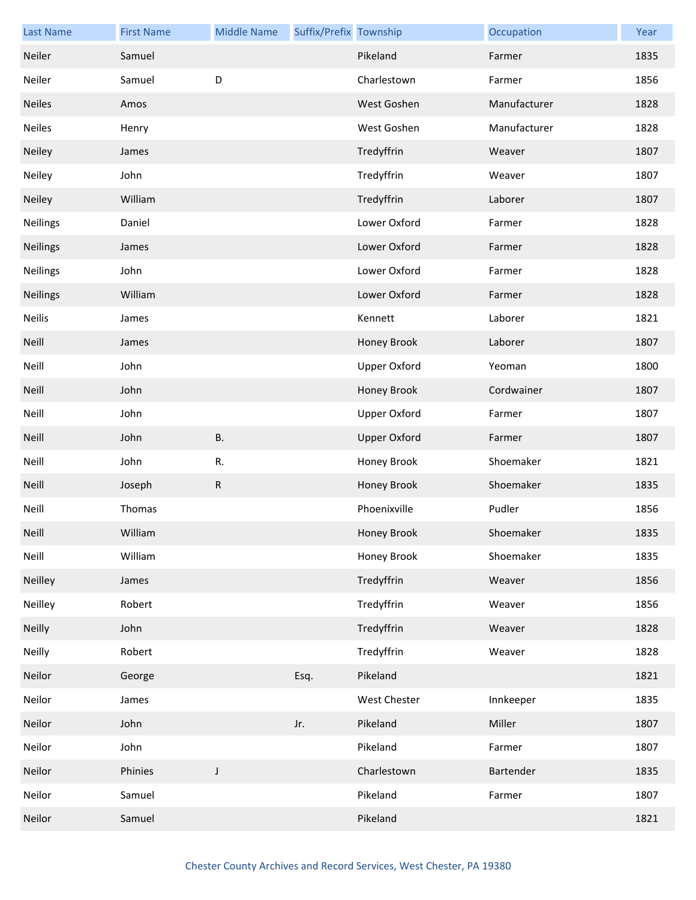| <b>Last Name</b> | <b>First Name</b> | <b>Middle Name</b> | Suffix/Prefix Township |                     | Occupation   | Year |
|------------------|-------------------|--------------------|------------------------|---------------------|--------------|------|
| Neiler           | Samuel            |                    |                        | Pikeland            | Farmer       | 1835 |
| Neiler           | Samuel            | D                  |                        | Charlestown         | Farmer       | 1856 |
| <b>Neiles</b>    | Amos              |                    |                        | West Goshen         | Manufacturer | 1828 |
| <b>Neiles</b>    | Henry             |                    |                        | West Goshen         | Manufacturer | 1828 |
| Neiley           | James             |                    |                        | Tredyffrin          | Weaver       | 1807 |
| Neiley           | John              |                    |                        | Tredyffrin          | Weaver       | 1807 |
| Neiley           | William           |                    |                        | Tredyffrin          | Laborer      | 1807 |
| <b>Neilings</b>  | Daniel            |                    |                        | Lower Oxford        | Farmer       | 1828 |
| <b>Neilings</b>  | James             |                    |                        | Lower Oxford        | Farmer       | 1828 |
| <b>Neilings</b>  | John              |                    |                        | Lower Oxford        | Farmer       | 1828 |
| <b>Neilings</b>  | William           |                    |                        | Lower Oxford        | Farmer       | 1828 |
| <b>Neilis</b>    | James             |                    |                        | Kennett             | Laborer      | 1821 |
| Neill            | James             |                    |                        | Honey Brook         | Laborer      | 1807 |
| Neill            | John              |                    |                        | <b>Upper Oxford</b> | Yeoman       | 1800 |
| Neill            | John              |                    |                        | Honey Brook         | Cordwainer   | 1807 |
| Neill            | John              |                    |                        | <b>Upper Oxford</b> | Farmer       | 1807 |
| Neill            | John              | <b>B.</b>          |                        | <b>Upper Oxford</b> | Farmer       | 1807 |
| Neill            | John              | R.                 |                        | Honey Brook         | Shoemaker    | 1821 |
| Neill            | Joseph            | ${\sf R}$          |                        | Honey Brook         | Shoemaker    | 1835 |
| Neill            | Thomas            |                    |                        | Phoenixville        | Pudler       | 1856 |
| Neill            | William           |                    |                        | Honey Brook         | Shoemaker    | 1835 |
| Neill            | William           |                    |                        | Honey Brook         | Shoemaker    | 1835 |
| Neilley          | James             |                    |                        | Tredyffrin          | Weaver       | 1856 |
| Neilley          | Robert            |                    |                        | Tredyffrin          | Weaver       | 1856 |
| Neilly           | John              |                    |                        | Tredyffrin          | Weaver       | 1828 |
| Neilly           | Robert            |                    |                        | Tredyffrin          | Weaver       | 1828 |
| Neilor           | George            |                    | Esq.                   | Pikeland            |              | 1821 |
| Neilor           | James             |                    |                        | <b>West Chester</b> | Innkeeper    | 1835 |
| Neilor           | John              |                    | Jr.                    | Pikeland            | Miller       | 1807 |
| Neilor           | John              |                    |                        | Pikeland            | Farmer       | 1807 |
| Neilor           | Phinies           | $\mathsf J$        |                        | Charlestown         | Bartender    | 1835 |
| Neilor           | Samuel            |                    |                        | Pikeland            | Farmer       | 1807 |
| Neilor           | Samuel            |                    |                        | Pikeland            |              | 1821 |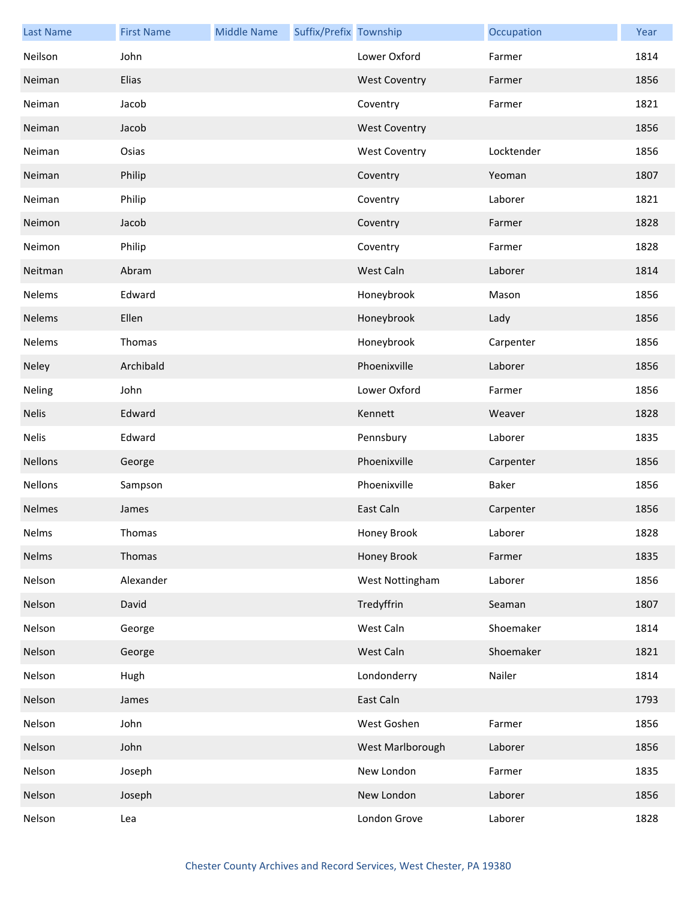| <b>Last Name</b> | <b>First Name</b> | <b>Middle Name</b> | Suffix/Prefix Township |                      | Occupation | Year |
|------------------|-------------------|--------------------|------------------------|----------------------|------------|------|
| Neilson          | John              |                    |                        | Lower Oxford         | Farmer     | 1814 |
| Neiman           | Elias             |                    |                        | <b>West Coventry</b> | Farmer     | 1856 |
| Neiman           | Jacob             |                    |                        | Coventry             | Farmer     | 1821 |
| Neiman           | Jacob             |                    |                        | <b>West Coventry</b> |            | 1856 |
| Neiman           | Osias             |                    |                        | <b>West Coventry</b> | Locktender | 1856 |
| Neiman           | Philip            |                    |                        | Coventry             | Yeoman     | 1807 |
| Neiman           | Philip            |                    |                        | Coventry             | Laborer    | 1821 |
| Neimon           | Jacob             |                    |                        | Coventry             | Farmer     | 1828 |
| Neimon           | Philip            |                    |                        | Coventry             | Farmer     | 1828 |
| Neitman          | Abram             |                    |                        | West Caln            | Laborer    | 1814 |
| Nelems           | Edward            |                    |                        | Honeybrook           | Mason      | 1856 |
| Nelems           | Ellen             |                    |                        | Honeybrook           | Lady       | 1856 |
| Nelems           | Thomas            |                    |                        | Honeybrook           | Carpenter  | 1856 |
| Neley            | Archibald         |                    |                        | Phoenixville         | Laborer    | 1856 |
| Neling           | John              |                    |                        | Lower Oxford         | Farmer     | 1856 |
| <b>Nelis</b>     | Edward            |                    |                        | Kennett              | Weaver     | 1828 |
| <b>Nelis</b>     | Edward            |                    |                        | Pennsbury            | Laborer    | 1835 |
| <b>Nellons</b>   | George            |                    |                        | Phoenixville         | Carpenter  | 1856 |
| Nellons          | Sampson           |                    |                        | Phoenixville         | Baker      | 1856 |
| Nelmes           | James             |                    |                        | East Caln            | Carpenter  | 1856 |
| Nelms            | Thomas            |                    |                        | Honey Brook          | Laborer    | 1828 |
| Nelms            | Thomas            |                    |                        | Honey Brook          | Farmer     | 1835 |
| Nelson           | Alexander         |                    |                        | West Nottingham      | Laborer    | 1856 |
| Nelson           | David             |                    |                        | Tredyffrin           | Seaman     | 1807 |
| Nelson           | George            |                    |                        | West Caln            | Shoemaker  | 1814 |
| Nelson           | George            |                    |                        | West Caln            | Shoemaker  | 1821 |
| Nelson           | Hugh              |                    |                        | Londonderry          | Nailer     | 1814 |
| Nelson           | James             |                    |                        | East Caln            |            | 1793 |
| Nelson           | John              |                    |                        | West Goshen          | Farmer     | 1856 |
| Nelson           | John              |                    |                        | West Marlborough     | Laborer    | 1856 |
| Nelson           | Joseph            |                    |                        | New London           | Farmer     | 1835 |
| Nelson           | Joseph            |                    |                        | New London           | Laborer    | 1856 |
| Nelson           | Lea               |                    |                        | London Grove         | Laborer    | 1828 |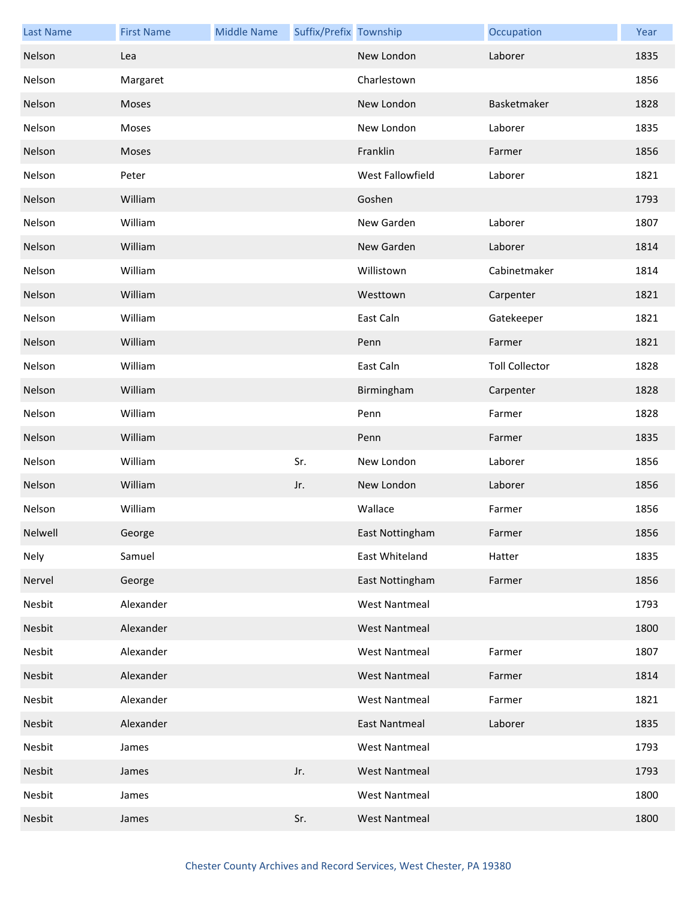| <b>Last Name</b> | <b>First Name</b> | <b>Middle Name</b> | Suffix/Prefix Township |                      | Occupation            | Year |
|------------------|-------------------|--------------------|------------------------|----------------------|-----------------------|------|
| Nelson           | Lea               |                    |                        | New London           | Laborer               | 1835 |
| Nelson           | Margaret          |                    |                        | Charlestown          |                       | 1856 |
| Nelson           | Moses             |                    |                        | New London           | Basketmaker           | 1828 |
| Nelson           | Moses             |                    |                        | New London           | Laborer               | 1835 |
| Nelson           | Moses             |                    |                        | Franklin             | Farmer                | 1856 |
| Nelson           | Peter             |                    |                        | West Fallowfield     | Laborer               | 1821 |
| Nelson           | William           |                    |                        | Goshen               |                       | 1793 |
| Nelson           | William           |                    |                        | New Garden           | Laborer               | 1807 |
| Nelson           | William           |                    |                        | New Garden           | Laborer               | 1814 |
| Nelson           | William           |                    |                        | Willistown           | Cabinetmaker          | 1814 |
| Nelson           | William           |                    |                        | Westtown             | Carpenter             | 1821 |
| Nelson           | William           |                    |                        | East Caln            | Gatekeeper            | 1821 |
| Nelson           | William           |                    |                        | Penn                 | Farmer                | 1821 |
| Nelson           | William           |                    |                        | East Caln            | <b>Toll Collector</b> | 1828 |
| Nelson           | William           |                    |                        | Birmingham           | Carpenter             | 1828 |
| Nelson           | William           |                    |                        | Penn                 | Farmer                | 1828 |
| Nelson           | William           |                    |                        | Penn                 | Farmer                | 1835 |
| Nelson           | William           |                    | Sr.                    | New London           | Laborer               | 1856 |
| Nelson           | William           |                    | Jr.                    | New London           | Laborer               | 1856 |
| Nelson           | William           |                    |                        | Wallace              | Farmer                | 1856 |
| Nelwell          | George            |                    |                        | East Nottingham      | Farmer                | 1856 |
| Nely             | Samuel            |                    |                        | East Whiteland       | Hatter                | 1835 |
| Nervel           | George            |                    |                        | East Nottingham      | Farmer                | 1856 |
| Nesbit           | Alexander         |                    |                        | <b>West Nantmeal</b> |                       | 1793 |
| Nesbit           | Alexander         |                    |                        | <b>West Nantmeal</b> |                       | 1800 |
| Nesbit           | Alexander         |                    |                        | <b>West Nantmeal</b> | Farmer                | 1807 |
| Nesbit           | Alexander         |                    |                        | <b>West Nantmeal</b> | Farmer                | 1814 |
| Nesbit           | Alexander         |                    |                        | <b>West Nantmeal</b> | Farmer                | 1821 |
| Nesbit           | Alexander         |                    |                        | <b>East Nantmeal</b> | Laborer               | 1835 |
| Nesbit           | James             |                    |                        | <b>West Nantmeal</b> |                       | 1793 |
| Nesbit           | James             |                    | Jr.                    | <b>West Nantmeal</b> |                       | 1793 |
| Nesbit           | James             |                    |                        | <b>West Nantmeal</b> |                       | 1800 |
| Nesbit           | James             |                    | Sr.                    | <b>West Nantmeal</b> |                       | 1800 |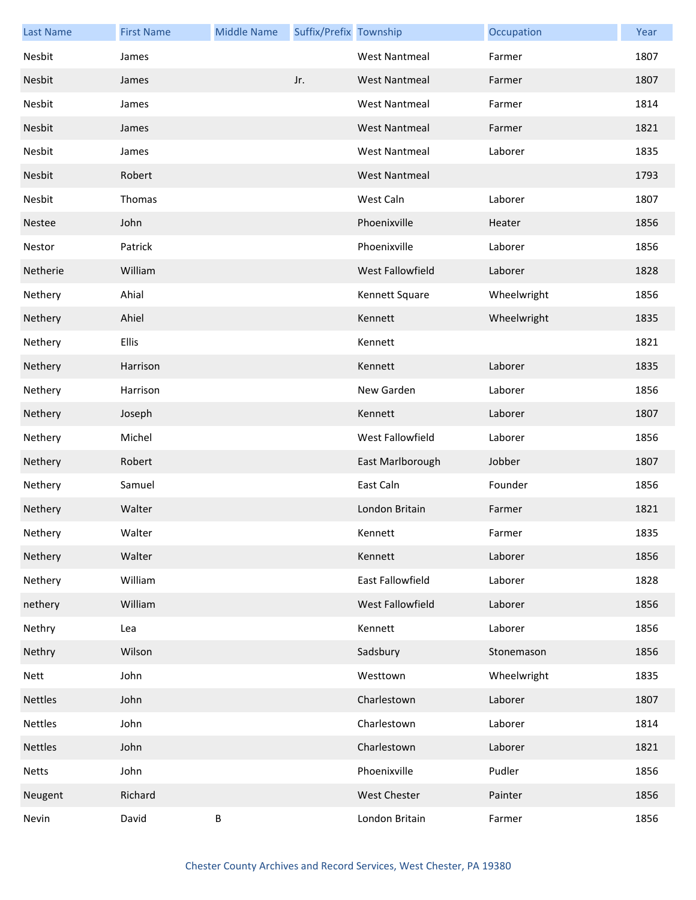| <b>Last Name</b> | <b>First Name</b> | <b>Middle Name</b> | Suffix/Prefix Township |                      | Occupation  | Year |
|------------------|-------------------|--------------------|------------------------|----------------------|-------------|------|
| Nesbit           | James             |                    |                        | <b>West Nantmeal</b> | Farmer      | 1807 |
| Nesbit           | James             |                    | Jr.                    | <b>West Nantmeal</b> | Farmer      | 1807 |
| Nesbit           | James             |                    |                        | <b>West Nantmeal</b> | Farmer      | 1814 |
| Nesbit           | James             |                    |                        | <b>West Nantmeal</b> | Farmer      | 1821 |
| Nesbit           | James             |                    |                        | <b>West Nantmeal</b> | Laborer     | 1835 |
| Nesbit           | Robert            |                    |                        | <b>West Nantmeal</b> |             | 1793 |
| Nesbit           | Thomas            |                    |                        | West Caln            | Laborer     | 1807 |
| Nestee           | John              |                    |                        | Phoenixville         | Heater      | 1856 |
| Nestor           | Patrick           |                    |                        | Phoenixville         | Laborer     | 1856 |
| Netherie         | William           |                    |                        | West Fallowfield     | Laborer     | 1828 |
| Nethery          | Ahial             |                    |                        | Kennett Square       | Wheelwright | 1856 |
| Nethery          | Ahiel             |                    |                        | Kennett              | Wheelwright | 1835 |
| Nethery          | Ellis             |                    |                        | Kennett              |             | 1821 |
| Nethery          | Harrison          |                    |                        | Kennett              | Laborer     | 1835 |
| Nethery          | Harrison          |                    |                        | New Garden           | Laborer     | 1856 |
| Nethery          | Joseph            |                    |                        | Kennett              | Laborer     | 1807 |
| Nethery          | Michel            |                    |                        | West Fallowfield     | Laborer     | 1856 |
| Nethery          | Robert            |                    |                        | East Marlborough     | Jobber      | 1807 |
| Nethery          | Samuel            |                    |                        | East Caln            | Founder     | 1856 |
| Nethery          | Walter            |                    |                        | London Britain       | Farmer      | 1821 |
| Nethery          | Walter            |                    |                        | Kennett              | Farmer      | 1835 |
| Nethery          | Walter            |                    |                        | Kennett              | Laborer     | 1856 |
| Nethery          | William           |                    |                        | East Fallowfield     | Laborer     | 1828 |
| nethery          | William           |                    |                        | West Fallowfield     | Laborer     | 1856 |
| Nethry           | Lea               |                    |                        | Kennett              | Laborer     | 1856 |
| Nethry           | Wilson            |                    |                        | Sadsbury             | Stonemason  | 1856 |
| Nett             | John              |                    |                        | Westtown             | Wheelwright | 1835 |
| Nettles          | John              |                    |                        | Charlestown          | Laborer     | 1807 |
| Nettles          | John              |                    |                        | Charlestown          | Laborer     | 1814 |
| Nettles          | John              |                    |                        | Charlestown          | Laborer     | 1821 |
| <b>Netts</b>     | John              |                    |                        | Phoenixville         | Pudler      | 1856 |
| Neugent          | Richard           |                    |                        | <b>West Chester</b>  | Painter     | 1856 |
| Nevin            | David             | Β                  |                        | London Britain       | Farmer      | 1856 |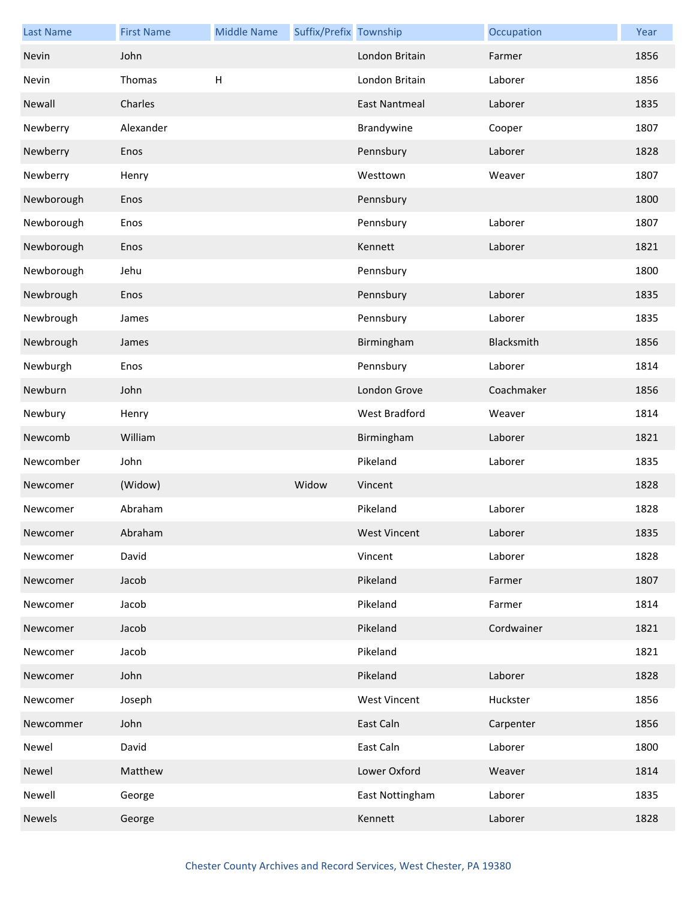| <b>Last Name</b> | <b>First Name</b> | <b>Middle Name</b>        | Suffix/Prefix Township |                      | Occupation | Year |
|------------------|-------------------|---------------------------|------------------------|----------------------|------------|------|
| Nevin            | John              |                           |                        | London Britain       | Farmer     | 1856 |
| Nevin            | Thomas            | $\boldsymbol{\mathsf{H}}$ |                        | London Britain       | Laborer    | 1856 |
| Newall           | Charles           |                           |                        | <b>East Nantmeal</b> | Laborer    | 1835 |
| Newberry         | Alexander         |                           |                        | Brandywine           | Cooper     | 1807 |
| Newberry         | Enos              |                           |                        | Pennsbury            | Laborer    | 1828 |
| Newberry         | Henry             |                           |                        | Westtown             | Weaver     | 1807 |
| Newborough       | Enos              |                           |                        | Pennsbury            |            | 1800 |
| Newborough       | Enos              |                           |                        | Pennsbury            | Laborer    | 1807 |
| Newborough       | Enos              |                           |                        | Kennett              | Laborer    | 1821 |
| Newborough       | Jehu              |                           |                        | Pennsbury            |            | 1800 |
| Newbrough        | Enos              |                           |                        | Pennsbury            | Laborer    | 1835 |
| Newbrough        | James             |                           |                        | Pennsbury            | Laborer    | 1835 |
| Newbrough        | James             |                           |                        | Birmingham           | Blacksmith | 1856 |
| Newburgh         | Enos              |                           |                        | Pennsbury            | Laborer    | 1814 |
| Newburn          | John              |                           |                        | London Grove         | Coachmaker | 1856 |
| Newbury          | Henry             |                           |                        | <b>West Bradford</b> | Weaver     | 1814 |
| Newcomb          | William           |                           |                        | Birmingham           | Laborer    | 1821 |
| Newcomber        | John              |                           |                        | Pikeland             | Laborer    | 1835 |
| Newcomer         | (Widow)           |                           | Widow                  | Vincent              |            | 1828 |
| Newcomer         | Abraham           |                           |                        | Pikeland             | Laborer    | 1828 |
| Newcomer         | Abraham           |                           |                        | West Vincent         | Laborer    | 1835 |
| Newcomer         | David             |                           |                        | Vincent              | Laborer    | 1828 |
| Newcomer         | Jacob             |                           |                        | Pikeland             | Farmer     | 1807 |
| Newcomer         | Jacob             |                           |                        | Pikeland             | Farmer     | 1814 |
| Newcomer         | Jacob             |                           |                        | Pikeland             | Cordwainer | 1821 |
| Newcomer         | Jacob             |                           |                        | Pikeland             |            | 1821 |
| Newcomer         | John              |                           |                        | Pikeland             | Laborer    | 1828 |
| Newcomer         | Joseph            |                           |                        | <b>West Vincent</b>  | Huckster   | 1856 |
| Newcommer        | John              |                           |                        | East Caln            | Carpenter  | 1856 |
| Newel            | David             |                           |                        | East Caln            | Laborer    | 1800 |
| Newel            | Matthew           |                           |                        | Lower Oxford         | Weaver     | 1814 |
| Newell           | George            |                           |                        | East Nottingham      | Laborer    | 1835 |
| <b>Newels</b>    | George            |                           |                        | Kennett              | Laborer    | 1828 |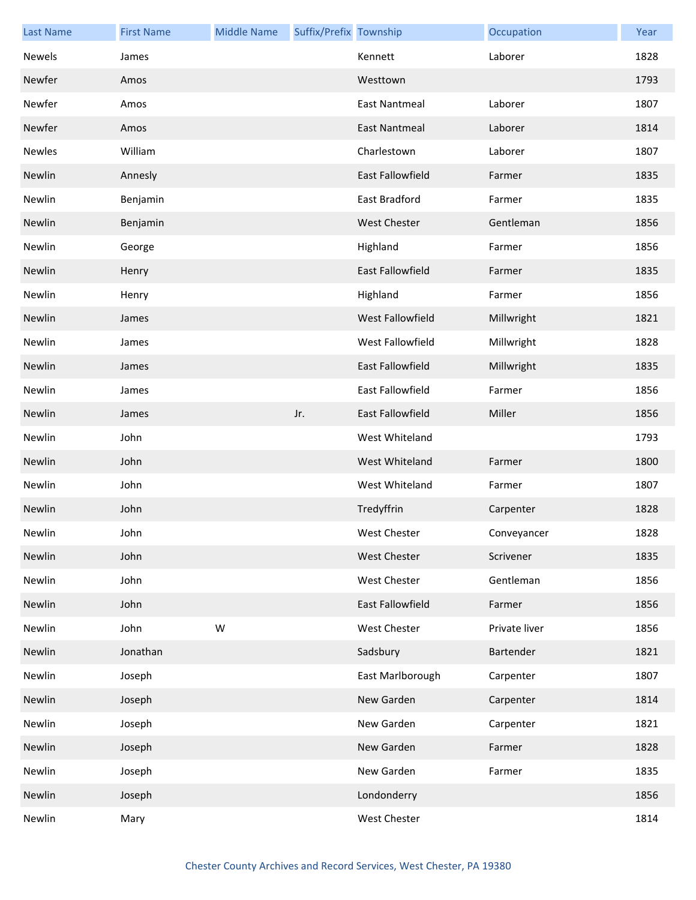| <b>Last Name</b> | <b>First Name</b> | <b>Middle Name</b> | Suffix/Prefix Township |                         | Occupation    | Year |
|------------------|-------------------|--------------------|------------------------|-------------------------|---------------|------|
| Newels           | James             |                    |                        | Kennett                 | Laborer       | 1828 |
| Newfer           | Amos              |                    |                        | Westtown                |               | 1793 |
| Newfer           | Amos              |                    |                        | <b>East Nantmeal</b>    | Laborer       | 1807 |
| Newfer           | Amos              |                    |                        | East Nantmeal           | Laborer       | 1814 |
| Newles           | William           |                    |                        | Charlestown             | Laborer       | 1807 |
| Newlin           | Annesly           |                    |                        | <b>East Fallowfield</b> | Farmer        | 1835 |
| Newlin           | Benjamin          |                    |                        | East Bradford           | Farmer        | 1835 |
| Newlin           | Benjamin          |                    |                        | <b>West Chester</b>     | Gentleman     | 1856 |
| Newlin           | George            |                    |                        | Highland                | Farmer        | 1856 |
| Newlin           | Henry             |                    |                        | <b>East Fallowfield</b> | Farmer        | 1835 |
| Newlin           | Henry             |                    |                        | Highland                | Farmer        | 1856 |
| Newlin           | James             |                    |                        | West Fallowfield        | Millwright    | 1821 |
| Newlin           | James             |                    |                        | West Fallowfield        | Millwright    | 1828 |
| Newlin           | James             |                    |                        | East Fallowfield        | Millwright    | 1835 |
| Newlin           | James             |                    |                        | East Fallowfield        | Farmer        | 1856 |
| Newlin           | James             |                    | Jr.                    | East Fallowfield        | Miller        | 1856 |
| Newlin           | John              |                    |                        | West Whiteland          |               | 1793 |
| Newlin           | John              |                    |                        | West Whiteland          | Farmer        | 1800 |
| Newlin           | John              |                    |                        | West Whiteland          | Farmer        | 1807 |
| Newlin           | John              |                    |                        | Tredyffrin              | Carpenter     | 1828 |
| Newlin           | John              |                    |                        | West Chester            | Conveyancer   | 1828 |
| Newlin           | John              |                    |                        | <b>West Chester</b>     | Scrivener     | 1835 |
| Newlin           | John              |                    |                        | West Chester            | Gentleman     | 1856 |
| Newlin           | John              |                    |                        | <b>East Fallowfield</b> | Farmer        | 1856 |
| Newlin           | John              | W                  |                        | West Chester            | Private liver | 1856 |
| Newlin           | Jonathan          |                    |                        | Sadsbury                | Bartender     | 1821 |
| Newlin           | Joseph            |                    |                        | East Marlborough        | Carpenter     | 1807 |
| Newlin           | Joseph            |                    |                        | New Garden              | Carpenter     | 1814 |
| Newlin           | Joseph            |                    |                        | New Garden              | Carpenter     | 1821 |
| Newlin           | Joseph            |                    |                        | New Garden              | Farmer        | 1828 |
| Newlin           | Joseph            |                    |                        | New Garden              | Farmer        | 1835 |
| Newlin           | Joseph            |                    |                        | Londonderry             |               | 1856 |
| Newlin           | Mary              |                    |                        | West Chester            |               | 1814 |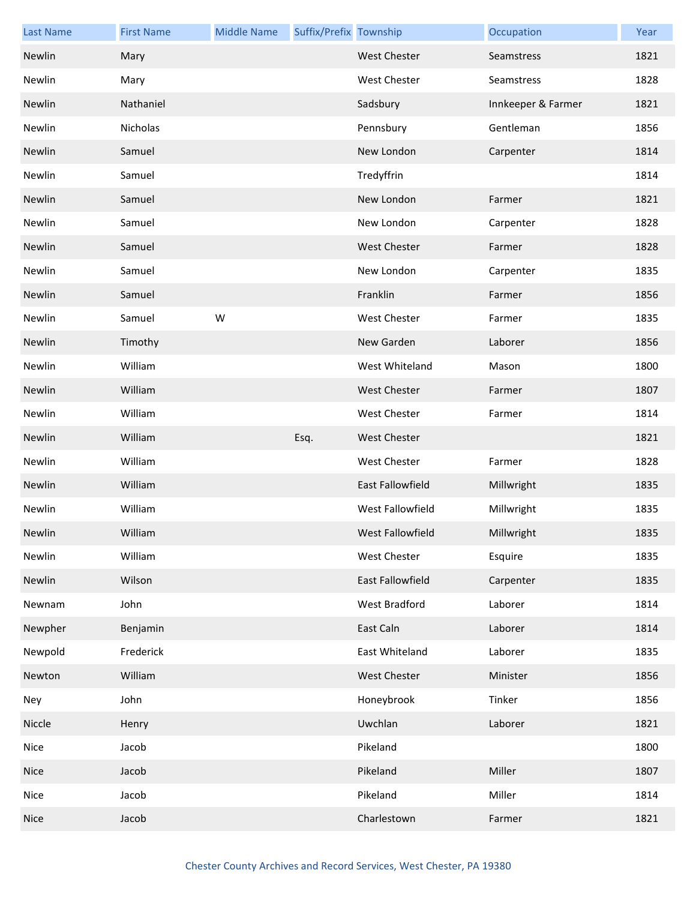| <b>Last Name</b> | <b>First Name</b> | <b>Middle Name</b> | Suffix/Prefix Township |                         | Occupation         | Year |
|------------------|-------------------|--------------------|------------------------|-------------------------|--------------------|------|
| Newlin           | Mary              |                    |                        | <b>West Chester</b>     | Seamstress         | 1821 |
| Newlin           | Mary              |                    |                        | <b>West Chester</b>     | Seamstress         | 1828 |
| Newlin           | Nathaniel         |                    |                        | Sadsbury                | Innkeeper & Farmer | 1821 |
| Newlin           | Nicholas          |                    |                        | Pennsbury               | Gentleman          | 1856 |
| Newlin           | Samuel            |                    |                        | New London              | Carpenter          | 1814 |
| Newlin           | Samuel            |                    |                        | Tredyffrin              |                    | 1814 |
| Newlin           | Samuel            |                    |                        | New London              | Farmer             | 1821 |
| Newlin           | Samuel            |                    |                        | New London              | Carpenter          | 1828 |
| Newlin           | Samuel            |                    |                        | <b>West Chester</b>     | Farmer             | 1828 |
| Newlin           | Samuel            |                    |                        | New London              | Carpenter          | 1835 |
| Newlin           | Samuel            |                    |                        | Franklin                | Farmer             | 1856 |
| Newlin           | Samuel            | W                  |                        | West Chester            | Farmer             | 1835 |
| Newlin           | Timothy           |                    |                        | New Garden              | Laborer            | 1856 |
| Newlin           | William           |                    |                        | West Whiteland          | Mason              | 1800 |
| Newlin           | William           |                    |                        | <b>West Chester</b>     | Farmer             | 1807 |
| Newlin           | William           |                    |                        | West Chester            | Farmer             | 1814 |
| Newlin           | William           |                    | Esq.                   | <b>West Chester</b>     |                    | 1821 |
| Newlin           | William           |                    |                        | West Chester            | Farmer             | 1828 |
| Newlin           | William           |                    |                        | <b>East Fallowfield</b> | Millwright         | 1835 |
| Newlin           | William           |                    |                        | West Fallowfield        | Millwright         | 1835 |
| Newlin           | William           |                    |                        | West Fallowfield        | Millwright         | 1835 |
| Newlin           | William           |                    |                        | West Chester            | Esquire            | 1835 |
| Newlin           | Wilson            |                    |                        | East Fallowfield        | Carpenter          | 1835 |
| Newnam           | John              |                    |                        | West Bradford           | Laborer            | 1814 |
| Newpher          | Benjamin          |                    |                        | East Caln               | Laborer            | 1814 |
| Newpold          | Frederick         |                    |                        | East Whiteland          | Laborer            | 1835 |
| Newton           | William           |                    |                        | West Chester            | Minister           | 1856 |
| Ney              | John              |                    |                        | Honeybrook              | Tinker             | 1856 |
| Niccle           | Henry             |                    |                        | Uwchlan                 | Laborer            | 1821 |
| Nice             | Jacob             |                    |                        | Pikeland                |                    | 1800 |
| Nice             | Jacob             |                    |                        | Pikeland                | Miller             | 1807 |
| Nice             | Jacob             |                    |                        | Pikeland                | Miller             | 1814 |
| Nice             | Jacob             |                    |                        | Charlestown             | Farmer             | 1821 |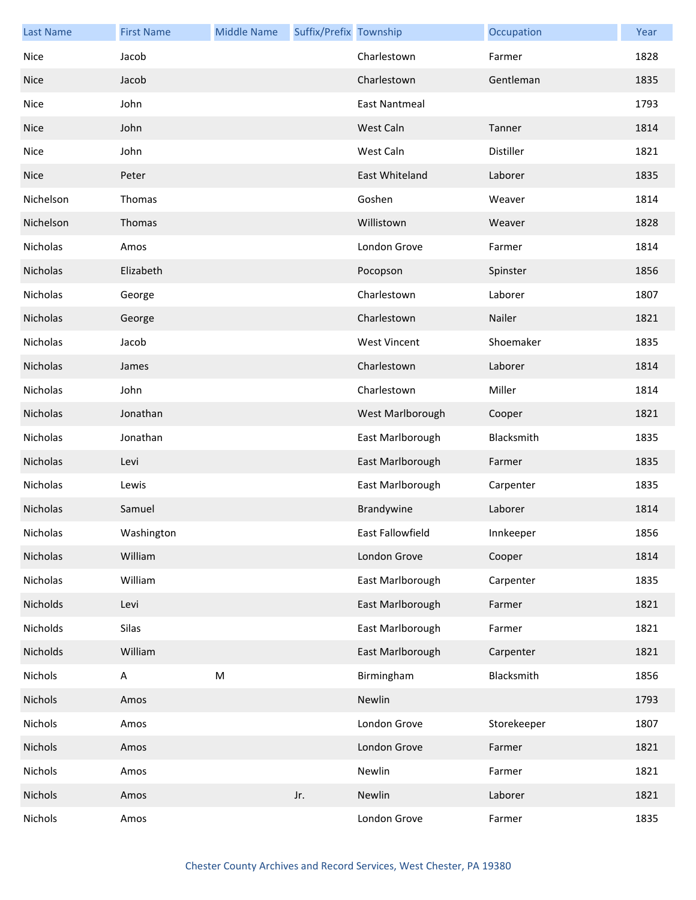| <b>Last Name</b> | <b>First Name</b> | <b>Middle Name</b> | Suffix/Prefix Township |                     | Occupation  | Year |
|------------------|-------------------|--------------------|------------------------|---------------------|-------------|------|
| Nice             | Jacob             |                    |                        | Charlestown         | Farmer      | 1828 |
| <b>Nice</b>      | Jacob             |                    |                        | Charlestown         | Gentleman   | 1835 |
| Nice             | John              |                    |                        | East Nantmeal       |             | 1793 |
| <b>Nice</b>      | John              |                    |                        | West Caln           | Tanner      | 1814 |
| Nice             | John              |                    |                        | West Caln           | Distiller   | 1821 |
| <b>Nice</b>      | Peter             |                    |                        | East Whiteland      | Laborer     | 1835 |
| Nichelson        | Thomas            |                    |                        | Goshen              | Weaver      | 1814 |
| Nichelson        | Thomas            |                    |                        | Willistown          | Weaver      | 1828 |
| Nicholas         | Amos              |                    |                        | London Grove        | Farmer      | 1814 |
| Nicholas         | Elizabeth         |                    |                        | Pocopson            | Spinster    | 1856 |
| Nicholas         | George            |                    |                        | Charlestown         | Laborer     | 1807 |
| Nicholas         | George            |                    |                        | Charlestown         | Nailer      | 1821 |
| Nicholas         | Jacob             |                    |                        | <b>West Vincent</b> | Shoemaker   | 1835 |
| Nicholas         | James             |                    |                        | Charlestown         | Laborer     | 1814 |
| Nicholas         | John              |                    |                        | Charlestown         | Miller      | 1814 |
| Nicholas         | Jonathan          |                    |                        | West Marlborough    | Cooper      | 1821 |
| Nicholas         | Jonathan          |                    |                        | East Marlborough    | Blacksmith  | 1835 |
| Nicholas         | Levi              |                    |                        | East Marlborough    | Farmer      | 1835 |
| Nicholas         | Lewis             |                    |                        | East Marlborough    | Carpenter   | 1835 |
| Nicholas         | Samuel            |                    |                        | Brandywine          | Laborer     | 1814 |
| Nicholas         | Washington        |                    |                        | East Fallowfield    | Innkeeper   | 1856 |
| Nicholas         | William           |                    |                        | London Grove        | Cooper      | 1814 |
| Nicholas         | William           |                    |                        | East Marlborough    | Carpenter   | 1835 |
| Nicholds         | Levi              |                    |                        | East Marlborough    | Farmer      | 1821 |
| Nicholds         | Silas             |                    |                        | East Marlborough    | Farmer      | 1821 |
| Nicholds         | William           |                    |                        | East Marlborough    | Carpenter   | 1821 |
| Nichols          | A                 | ${\sf M}$          |                        | Birmingham          | Blacksmith  | 1856 |
| Nichols          | Amos              |                    |                        | Newlin              |             | 1793 |
| Nichols          | Amos              |                    |                        | London Grove        | Storekeeper | 1807 |
| Nichols          | Amos              |                    |                        | London Grove        | Farmer      | 1821 |
| Nichols          | Amos              |                    |                        | Newlin              | Farmer      | 1821 |
| Nichols          | Amos              |                    | Jr.                    | Newlin              | Laborer     | 1821 |
| Nichols          | Amos              |                    |                        | London Grove        | Farmer      | 1835 |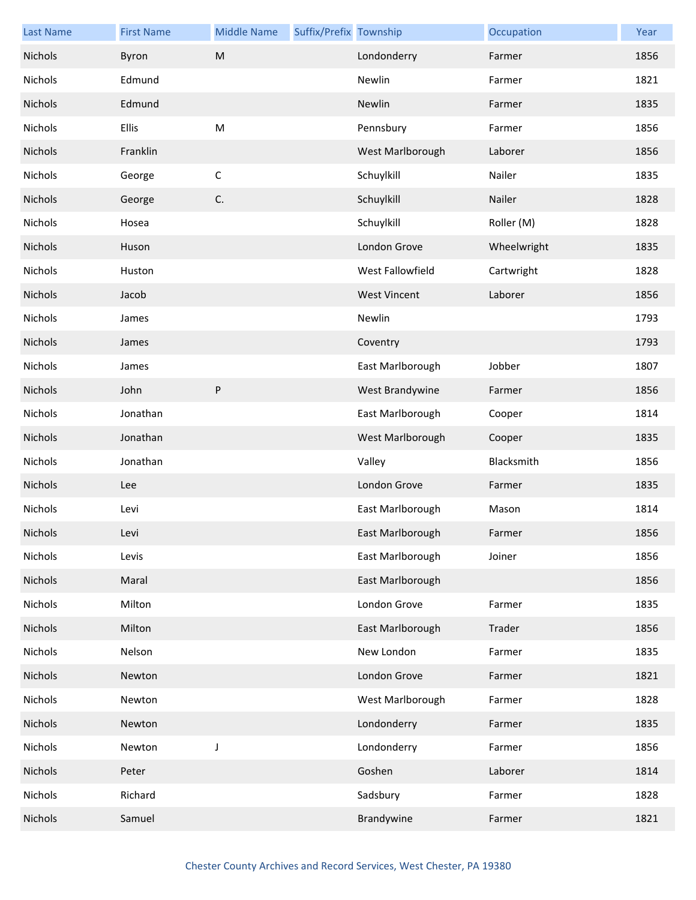| <b>Last Name</b> | <b>First Name</b> | <b>Middle Name</b> | Suffix/Prefix Township |                     | Occupation  | Year |
|------------------|-------------------|--------------------|------------------------|---------------------|-------------|------|
| Nichols          | Byron             | ${\sf M}$          |                        | Londonderry         | Farmer      | 1856 |
| Nichols          | Edmund            |                    |                        | Newlin              | Farmer      | 1821 |
| Nichols          | Edmund            |                    |                        | Newlin              | Farmer      | 1835 |
| Nichols          | <b>Ellis</b>      | M                  |                        | Pennsbury           | Farmer      | 1856 |
| Nichols          | Franklin          |                    |                        | West Marlborough    | Laborer     | 1856 |
| Nichols          | George            | $\mathsf C$        |                        | Schuylkill          | Nailer      | 1835 |
| Nichols          | George            | C.                 |                        | Schuylkill          | Nailer      | 1828 |
| Nichols          | Hosea             |                    |                        | Schuylkill          | Roller (M)  | 1828 |
| Nichols          | Huson             |                    |                        | London Grove        | Wheelwright | 1835 |
| Nichols          | Huston            |                    |                        | West Fallowfield    | Cartwright  | 1828 |
| Nichols          | Jacob             |                    |                        | <b>West Vincent</b> | Laborer     | 1856 |
| Nichols          | James             |                    |                        | Newlin              |             | 1793 |
| Nichols          | James             |                    |                        | Coventry            |             | 1793 |
| Nichols          | James             |                    |                        | East Marlborough    | Jobber      | 1807 |
| Nichols          | John              | $\sf P$            |                        | West Brandywine     | Farmer      | 1856 |
| Nichols          | Jonathan          |                    |                        | East Marlborough    | Cooper      | 1814 |
| Nichols          | Jonathan          |                    |                        | West Marlborough    | Cooper      | 1835 |
| Nichols          | Jonathan          |                    |                        | Valley              | Blacksmith  | 1856 |
| Nichols          | Lee               |                    |                        | London Grove        | Farmer      | 1835 |
| Nichols          | Levi              |                    |                        | East Marlborough    | Mason       | 1814 |
| Nichols          | Levi              |                    |                        | East Marlborough    | Farmer      | 1856 |
| Nichols          | Levis             |                    |                        | East Marlborough    | Joiner      | 1856 |
| Nichols          | Maral             |                    |                        | East Marlborough    |             | 1856 |
| Nichols          | Milton            |                    |                        | London Grove        | Farmer      | 1835 |
| Nichols          | Milton            |                    |                        | East Marlborough    | Trader      | 1856 |
| Nichols          | Nelson            |                    |                        | New London          | Farmer      | 1835 |
| Nichols          | Newton            |                    |                        | London Grove        | Farmer      | 1821 |
| Nichols          | Newton            |                    |                        | West Marlborough    | Farmer      | 1828 |
| Nichols          | Newton            |                    |                        | Londonderry         | Farmer      | 1835 |
| Nichols          | Newton            | J                  |                        | Londonderry         | Farmer      | 1856 |
| Nichols          | Peter             |                    |                        | Goshen              | Laborer     | 1814 |
| Nichols          | Richard           |                    |                        | Sadsbury            | Farmer      | 1828 |
| Nichols          | Samuel            |                    |                        | Brandywine          | Farmer      | 1821 |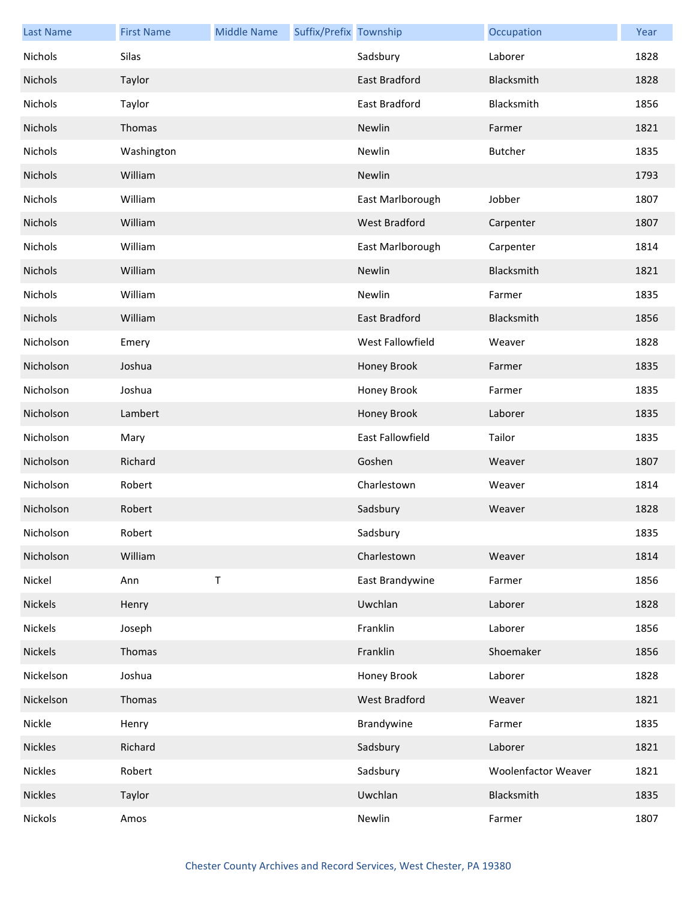| <b>Last Name</b> | <b>First Name</b> | <b>Middle Name</b> | Suffix/Prefix Township |                      | Occupation          | Year |
|------------------|-------------------|--------------------|------------------------|----------------------|---------------------|------|
| Nichols          | Silas             |                    |                        | Sadsbury             | Laborer             | 1828 |
| Nichols          | Taylor            |                    |                        | <b>East Bradford</b> | Blacksmith          | 1828 |
| Nichols          | Taylor            |                    |                        | East Bradford        | Blacksmith          | 1856 |
| Nichols          | Thomas            |                    |                        | Newlin               | Farmer              | 1821 |
| Nichols          | Washington        |                    |                        | Newlin               | <b>Butcher</b>      | 1835 |
| Nichols          | William           |                    |                        | Newlin               |                     | 1793 |
| Nichols          | William           |                    |                        | East Marlborough     | Jobber              | 1807 |
| Nichols          | William           |                    |                        | West Bradford        | Carpenter           | 1807 |
| Nichols          | William           |                    |                        | East Marlborough     | Carpenter           | 1814 |
| Nichols          | William           |                    |                        | Newlin               | Blacksmith          | 1821 |
| Nichols          | William           |                    |                        | Newlin               | Farmer              | 1835 |
| Nichols          | William           |                    |                        | East Bradford        | Blacksmith          | 1856 |
| Nicholson        | Emery             |                    |                        | West Fallowfield     | Weaver              | 1828 |
| Nicholson        | Joshua            |                    |                        | Honey Brook          | Farmer              | 1835 |
| Nicholson        | Joshua            |                    |                        | Honey Brook          | Farmer              | 1835 |
| Nicholson        | Lambert           |                    |                        | Honey Brook          | Laborer             | 1835 |
| Nicholson        | Mary              |                    |                        | East Fallowfield     | Tailor              | 1835 |
| Nicholson        | Richard           |                    |                        | Goshen               | Weaver              | 1807 |
| Nicholson        | Robert            |                    |                        | Charlestown          | Weaver              | 1814 |
| Nicholson        | Robert            |                    |                        | Sadsbury             | Weaver              | 1828 |
| Nicholson        | Robert            |                    |                        | Sadsbury             |                     | 1835 |
| Nicholson        | William           |                    |                        | Charlestown          | Weaver              | 1814 |
| Nickel           | Ann               | $\mathsf T$        |                        | East Brandywine      | Farmer              | 1856 |
| Nickels          | Henry             |                    |                        | Uwchlan              | Laborer             | 1828 |
| Nickels          | Joseph            |                    |                        | Franklin             | Laborer             | 1856 |
| Nickels          | Thomas            |                    |                        | Franklin             | Shoemaker           | 1856 |
| Nickelson        | Joshua            |                    |                        | Honey Brook          | Laborer             | 1828 |
| Nickelson        | Thomas            |                    |                        | West Bradford        | Weaver              | 1821 |
| Nickle           | Henry             |                    |                        | Brandywine           | Farmer              | 1835 |
| Nickles          | Richard           |                    |                        | Sadsbury             | Laborer             | 1821 |
| <b>Nickles</b>   | Robert            |                    |                        | Sadsbury             | Woolenfactor Weaver | 1821 |
| <b>Nickles</b>   | Taylor            |                    |                        | Uwchlan              | Blacksmith          | 1835 |
| Nickols          | Amos              |                    |                        | Newlin               | Farmer              | 1807 |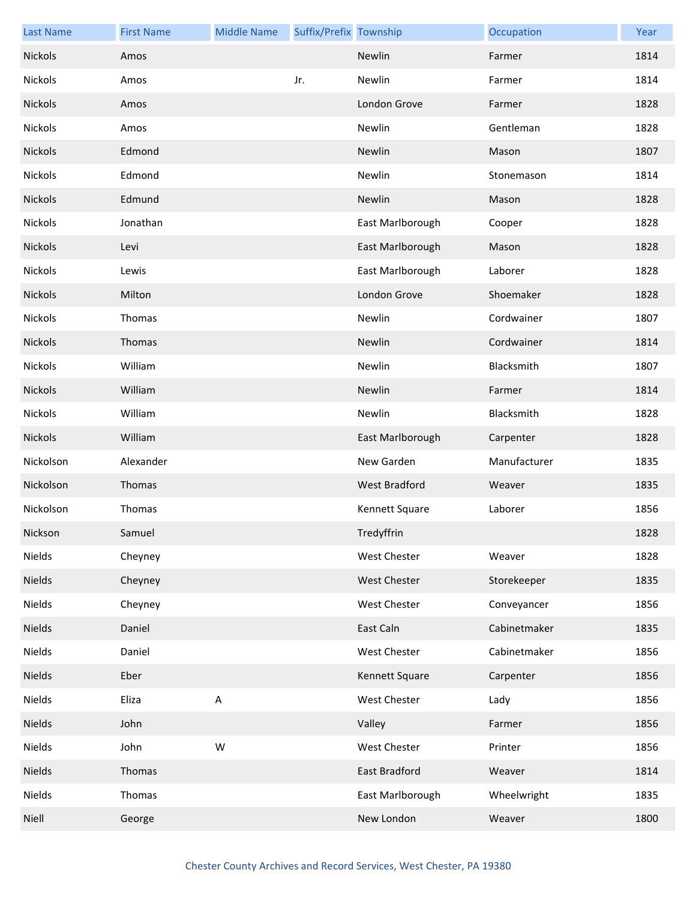| <b>Last Name</b> | <b>First Name</b> | <b>Middle Name</b> | Suffix/Prefix Township |                      | Occupation   | Year |
|------------------|-------------------|--------------------|------------------------|----------------------|--------------|------|
| Nickols          | Amos              |                    |                        | Newlin               | Farmer       | 1814 |
| Nickols          | Amos              |                    | Jr.                    | Newlin               | Farmer       | 1814 |
| Nickols          | Amos              |                    |                        | London Grove         | Farmer       | 1828 |
| Nickols          | Amos              |                    |                        | Newlin               | Gentleman    | 1828 |
| Nickols          | Edmond            |                    |                        | Newlin               | Mason        | 1807 |
| Nickols          | Edmond            |                    |                        | Newlin               | Stonemason   | 1814 |
| Nickols          | Edmund            |                    |                        | Newlin               | Mason        | 1828 |
| Nickols          | Jonathan          |                    |                        | East Marlborough     | Cooper       | 1828 |
| Nickols          | Levi              |                    |                        | East Marlborough     | Mason        | 1828 |
| Nickols          | Lewis             |                    |                        | East Marlborough     | Laborer      | 1828 |
| Nickols          | Milton            |                    |                        | London Grove         | Shoemaker    | 1828 |
| Nickols          | Thomas            |                    |                        | Newlin               | Cordwainer   | 1807 |
| Nickols          | Thomas            |                    |                        | Newlin               | Cordwainer   | 1814 |
| Nickols          | William           |                    |                        | Newlin               | Blacksmith   | 1807 |
| Nickols          | William           |                    |                        | Newlin               | Farmer       | 1814 |
| Nickols          | William           |                    |                        | Newlin               | Blacksmith   | 1828 |
| Nickols          | William           |                    |                        | East Marlborough     | Carpenter    | 1828 |
| Nickolson        | Alexander         |                    |                        | New Garden           | Manufacturer | 1835 |
| Nickolson        | Thomas            |                    |                        | <b>West Bradford</b> | Weaver       | 1835 |
| Nickolson        | Thomas            |                    |                        | Kennett Square       | Laborer      | 1856 |
| Nickson          | Samuel            |                    |                        | Tredyffrin           |              | 1828 |
| Nields           | Cheyney           |                    |                        | West Chester         | Weaver       | 1828 |
| Nields           | Cheyney           |                    |                        | West Chester         | Storekeeper  | 1835 |
| Nields           | Cheyney           |                    |                        | West Chester         | Conveyancer  | 1856 |
| Nields           | Daniel            |                    |                        | East Caln            | Cabinetmaker | 1835 |
| Nields           | Daniel            |                    |                        | West Chester         | Cabinetmaker | 1856 |
| <b>Nields</b>    | Eber              |                    |                        | Kennett Square       | Carpenter    | 1856 |
| Nields           | Eliza             | $\sf A$            |                        | West Chester         | Lady         | 1856 |
| <b>Nields</b>    | John              |                    |                        | Valley               | Farmer       | 1856 |
| Nields           | John              | W                  |                        | West Chester         | Printer      | 1856 |
| Nields           | Thomas            |                    |                        | East Bradford        | Weaver       | 1814 |
| Nields           | Thomas            |                    |                        | East Marlborough     | Wheelwright  | 1835 |
| Niell            | George            |                    |                        | New London           | Weaver       | 1800 |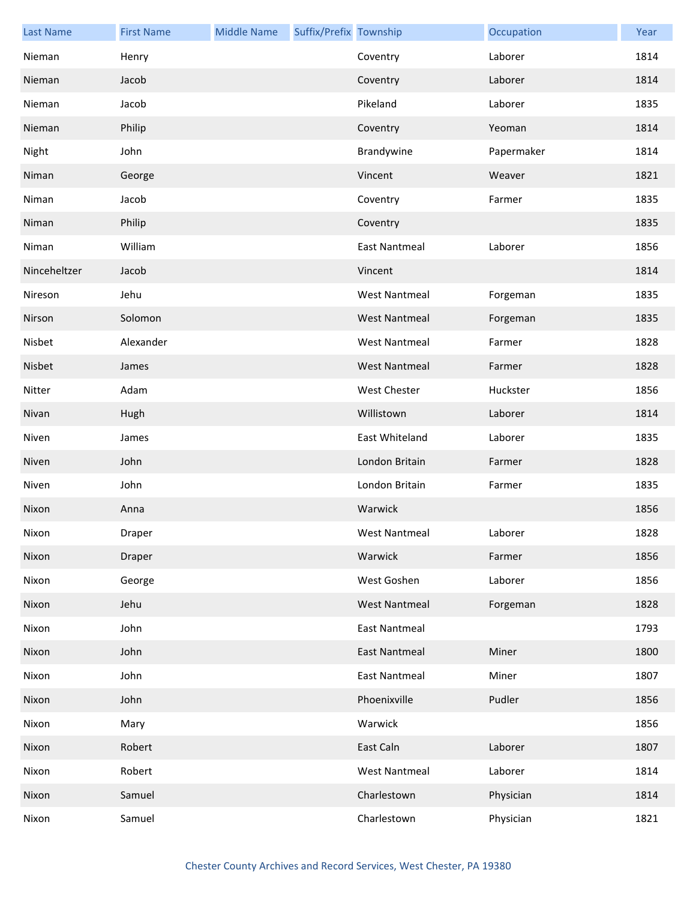| <b>Last Name</b> | <b>First Name</b> | <b>Middle Name</b> | Suffix/Prefix Township |                      | Occupation | Year |
|------------------|-------------------|--------------------|------------------------|----------------------|------------|------|
| Nieman           | Henry             |                    |                        | Coventry             | Laborer    | 1814 |
| Nieman           | Jacob             |                    |                        | Coventry             | Laborer    | 1814 |
| Nieman           | Jacob             |                    |                        | Pikeland             | Laborer    | 1835 |
| Nieman           | Philip            |                    |                        | Coventry             | Yeoman     | 1814 |
| Night            | John              |                    |                        | Brandywine           | Papermaker | 1814 |
| Niman            | George            |                    |                        | Vincent              | Weaver     | 1821 |
| Niman            | Jacob             |                    |                        | Coventry             | Farmer     | 1835 |
| Niman            | Philip            |                    |                        | Coventry             |            | 1835 |
| Niman            | William           |                    |                        | <b>East Nantmeal</b> | Laborer    | 1856 |
| Ninceheltzer     | Jacob             |                    |                        | Vincent              |            | 1814 |
| Nireson          | Jehu              |                    |                        | <b>West Nantmeal</b> | Forgeman   | 1835 |
| Nirson           | Solomon           |                    |                        | <b>West Nantmeal</b> | Forgeman   | 1835 |
| Nisbet           | Alexander         |                    |                        | <b>West Nantmeal</b> | Farmer     | 1828 |
| Nisbet           | James             |                    |                        | <b>West Nantmeal</b> | Farmer     | 1828 |
| Nitter           | Adam              |                    |                        | West Chester         | Huckster   | 1856 |
| Nivan            | Hugh              |                    |                        | Willistown           | Laborer    | 1814 |
| Niven            | James             |                    |                        | East Whiteland       | Laborer    | 1835 |
| Niven            | John              |                    |                        | London Britain       | Farmer     | 1828 |
| Niven            | John              |                    |                        | London Britain       | Farmer     | 1835 |
| Nixon            | Anna              |                    |                        | Warwick              |            | 1856 |
| Nixon            | Draper            |                    |                        | West Nantmeal        | Laborer    | 1828 |
| Nixon            | Draper            |                    |                        | Warwick              | Farmer     | 1856 |
| Nixon            | George            |                    |                        | West Goshen          | Laborer    | 1856 |
| Nixon            | Jehu              |                    |                        | <b>West Nantmeal</b> | Forgeman   | 1828 |
| Nixon            | John              |                    |                        | <b>East Nantmeal</b> |            | 1793 |
| Nixon            | John              |                    |                        | East Nantmeal        | Miner      | 1800 |
| Nixon            | John              |                    |                        | <b>East Nantmeal</b> | Miner      | 1807 |
| Nixon            | John              |                    |                        | Phoenixville         | Pudler     | 1856 |
| Nixon            | Mary              |                    |                        | Warwick              |            | 1856 |
| Nixon            | Robert            |                    |                        | East Caln            | Laborer    | 1807 |
| Nixon            | Robert            |                    |                        | <b>West Nantmeal</b> | Laborer    | 1814 |
| Nixon            | Samuel            |                    |                        | Charlestown          | Physician  | 1814 |
| Nixon            | Samuel            |                    |                        | Charlestown          | Physician  | 1821 |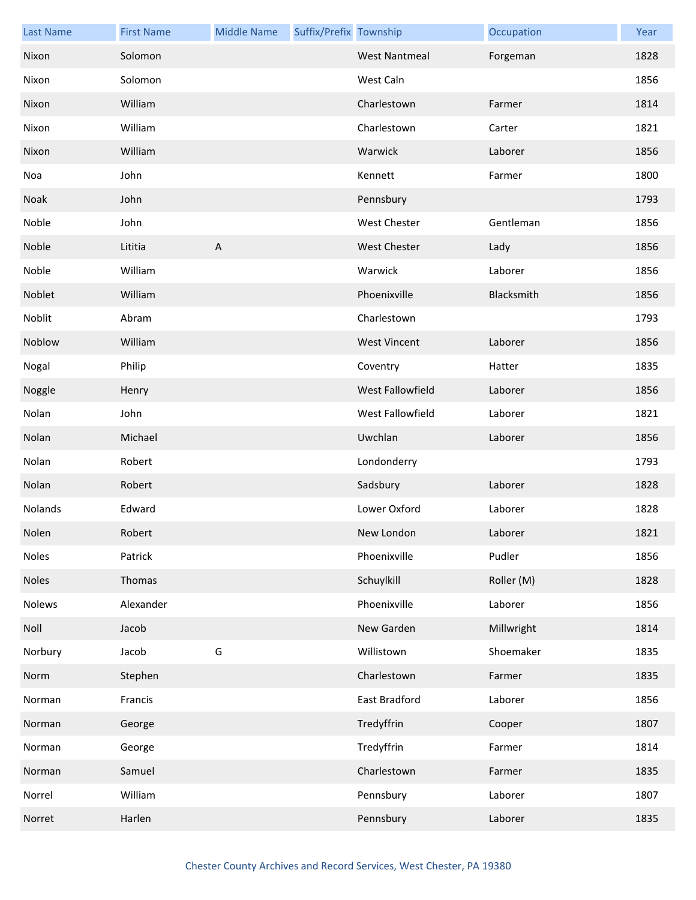| <b>Last Name</b> | <b>First Name</b> | <b>Middle Name</b>        | Suffix/Prefix Township |                         | Occupation | Year |
|------------------|-------------------|---------------------------|------------------------|-------------------------|------------|------|
| Nixon            | Solomon           |                           |                        | <b>West Nantmeal</b>    | Forgeman   | 1828 |
| Nixon            | Solomon           |                           |                        | West Caln               |            | 1856 |
| Nixon            | William           |                           |                        | Charlestown             | Farmer     | 1814 |
| Nixon            | William           |                           |                        | Charlestown             | Carter     | 1821 |
| Nixon            | William           |                           |                        | Warwick                 | Laborer    | 1856 |
| Noa              | John              |                           |                        | Kennett                 | Farmer     | 1800 |
| Noak             | John              |                           |                        | Pennsbury               |            | 1793 |
| Noble            | John              |                           |                        | <b>West Chester</b>     | Gentleman  | 1856 |
| Noble            | Lititia           | $\boldsymbol{\mathsf{A}}$ |                        | <b>West Chester</b>     | Lady       | 1856 |
| Noble            | William           |                           |                        | Warwick                 | Laborer    | 1856 |
| Noblet           | William           |                           |                        | Phoenixville            | Blacksmith | 1856 |
| Noblit           | Abram             |                           |                        | Charlestown             |            | 1793 |
| Noblow           | William           |                           |                        | <b>West Vincent</b>     | Laborer    | 1856 |
| Nogal            | Philip            |                           |                        | Coventry                | Hatter     | 1835 |
| Noggle           | Henry             |                           |                        | <b>West Fallowfield</b> | Laborer    | 1856 |
| Nolan            | John              |                           |                        | West Fallowfield        | Laborer    | 1821 |
| Nolan            | Michael           |                           |                        | Uwchlan                 | Laborer    | 1856 |
| Nolan            | Robert            |                           |                        | Londonderry             |            | 1793 |
| Nolan            | Robert            |                           |                        | Sadsbury                | Laborer    | 1828 |
| Nolands          | Edward            |                           |                        | Lower Oxford            | Laborer    | 1828 |
| Nolen            | Robert            |                           |                        | New London              | Laborer    | 1821 |
| <b>Noles</b>     | Patrick           |                           |                        | Phoenixville            | Pudler     | 1856 |
| <b>Noles</b>     | Thomas            |                           |                        | Schuylkill              | Roller (M) | 1828 |
| <b>Nolews</b>    | Alexander         |                           |                        | Phoenixville            | Laborer    | 1856 |
| Noll             | Jacob             |                           |                        | New Garden              | Millwright | 1814 |
| Norbury          | Jacob             | G                         |                        | Willistown              | Shoemaker  | 1835 |
| Norm             | Stephen           |                           |                        | Charlestown             | Farmer     | 1835 |
| Norman           | Francis           |                           |                        | East Bradford           | Laborer    | 1856 |
| Norman           | George            |                           |                        | Tredyffrin              | Cooper     | 1807 |
| Norman           | George            |                           |                        | Tredyffrin              | Farmer     | 1814 |
| Norman           | Samuel            |                           |                        | Charlestown             | Farmer     | 1835 |
| Norrel           | William           |                           |                        | Pennsbury               | Laborer    | 1807 |
| Norret           | Harlen            |                           |                        | Pennsbury               | Laborer    | 1835 |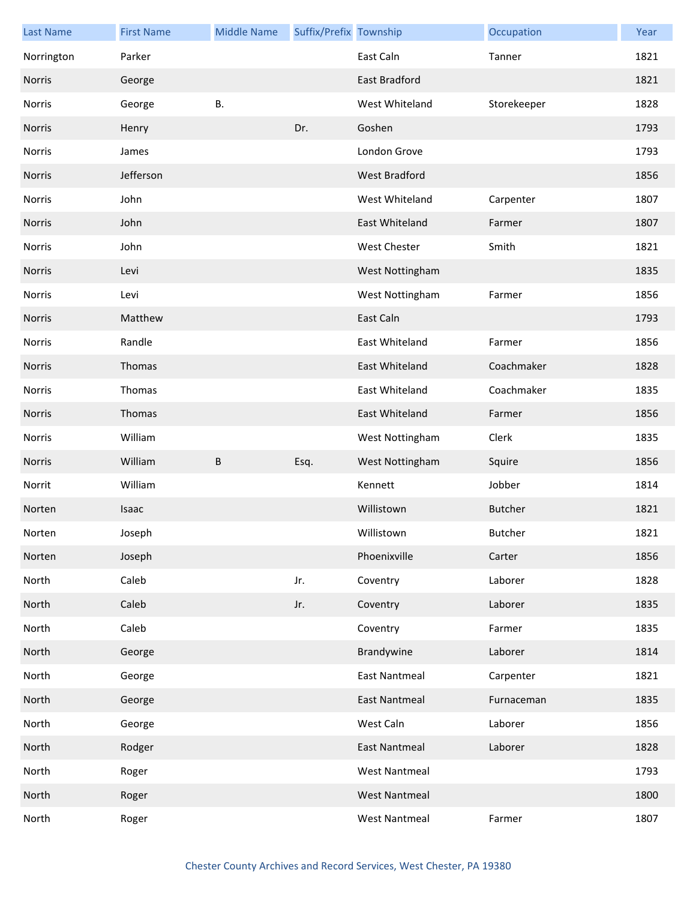| <b>Last Name</b> | <b>First Name</b> | <b>Middle Name</b> | Suffix/Prefix Township |                      | Occupation     | Year |
|------------------|-------------------|--------------------|------------------------|----------------------|----------------|------|
| Norrington       | Parker            |                    |                        | East Caln            | Tanner         | 1821 |
| Norris           | George            |                    |                        | <b>East Bradford</b> |                | 1821 |
| Norris           | George            | <b>B.</b>          |                        | West Whiteland       | Storekeeper    | 1828 |
| Norris           | Henry             |                    | Dr.                    | Goshen               |                | 1793 |
| Norris           | James             |                    |                        | London Grove         |                | 1793 |
| Norris           | Jefferson         |                    |                        | <b>West Bradford</b> |                | 1856 |
| Norris           | John              |                    |                        | West Whiteland       | Carpenter      | 1807 |
| Norris           | John              |                    |                        | East Whiteland       | Farmer         | 1807 |
| Norris           | John              |                    |                        | <b>West Chester</b>  | Smith          | 1821 |
| Norris           | Levi              |                    |                        | West Nottingham      |                | 1835 |
| Norris           | Levi              |                    |                        | West Nottingham      | Farmer         | 1856 |
| Norris           | Matthew           |                    |                        | East Caln            |                | 1793 |
| Norris           | Randle            |                    |                        | East Whiteland       | Farmer         | 1856 |
| Norris           | Thomas            |                    |                        | East Whiteland       | Coachmaker     | 1828 |
| Norris           | Thomas            |                    |                        | East Whiteland       | Coachmaker     | 1835 |
| Norris           | Thomas            |                    |                        | East Whiteland       | Farmer         | 1856 |
| Norris           | William           |                    |                        | West Nottingham      | Clerk          | 1835 |
| Norris           | William           | B                  | Esq.                   | West Nottingham      | Squire         | 1856 |
| Norrit           | William           |                    |                        | Kennett              | Jobber         | 1814 |
| Norten           | Isaac             |                    |                        | Willistown           | <b>Butcher</b> | 1821 |
| Norten           | Joseph            |                    |                        | Willistown           | <b>Butcher</b> | 1821 |
| Norten           | Joseph            |                    |                        | Phoenixville         | Carter         | 1856 |
| North            | Caleb             |                    | Jr.                    | Coventry             | Laborer        | 1828 |
| North            | Caleb             |                    | Jr.                    | Coventry             | Laborer        | 1835 |
| North            | Caleb             |                    |                        | Coventry             | Farmer         | 1835 |
| North            | George            |                    |                        | Brandywine           | Laborer        | 1814 |
| North            | George            |                    |                        | <b>East Nantmeal</b> | Carpenter      | 1821 |
| North            | George            |                    |                        | <b>East Nantmeal</b> | Furnaceman     | 1835 |
| North            | George            |                    |                        | West Caln            | Laborer        | 1856 |
| North            | Rodger            |                    |                        | <b>East Nantmeal</b> | Laborer        | 1828 |
| North            | Roger             |                    |                        | <b>West Nantmeal</b> |                | 1793 |
| North            | Roger             |                    |                        | <b>West Nantmeal</b> |                | 1800 |
| North            | Roger             |                    |                        | <b>West Nantmeal</b> | Farmer         | 1807 |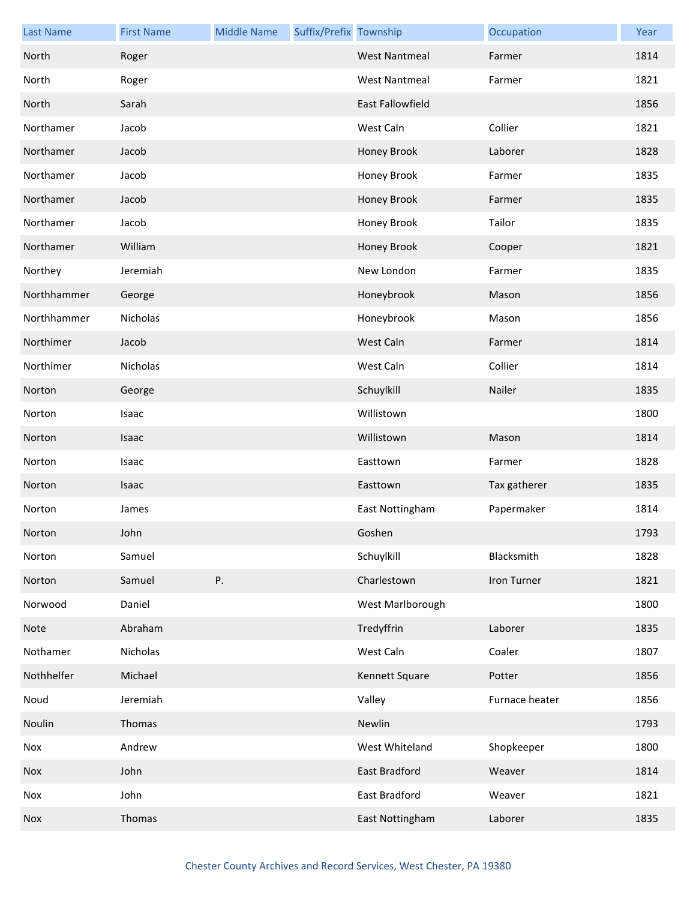| <b>Last Name</b> | <b>First Name</b> | <b>Middle Name</b> | Suffix/Prefix Township |                      | Occupation     | Year |
|------------------|-------------------|--------------------|------------------------|----------------------|----------------|------|
| North            | Roger             |                    |                        | <b>West Nantmeal</b> | Farmer         | 1814 |
| North            | Roger             |                    |                        | <b>West Nantmeal</b> | Farmer         | 1821 |
| North            | Sarah             |                    |                        | East Fallowfield     |                | 1856 |
| Northamer        | Jacob             |                    |                        | West Caln            | Collier        | 1821 |
| Northamer        | Jacob             |                    |                        | Honey Brook          | Laborer        | 1828 |
| Northamer        | Jacob             |                    |                        | Honey Brook          | Farmer         | 1835 |
| Northamer        | Jacob             |                    |                        | Honey Brook          | Farmer         | 1835 |
| Northamer        | Jacob             |                    |                        | Honey Brook          | Tailor         | 1835 |
| Northamer        | William           |                    |                        | Honey Brook          | Cooper         | 1821 |
| Northey          | Jeremiah          |                    |                        | New London           | Farmer         | 1835 |
| Northhammer      | George            |                    |                        | Honeybrook           | Mason          | 1856 |
| Northhammer      | Nicholas          |                    |                        | Honeybrook           | Mason          | 1856 |
| Northimer        | Jacob             |                    |                        | West Caln            | Farmer         | 1814 |
| Northimer        | Nicholas          |                    |                        | West Caln            | Collier        | 1814 |
| Norton           | George            |                    |                        | Schuylkill           | Nailer         | 1835 |
| Norton           | Isaac             |                    |                        | Willistown           |                | 1800 |
| Norton           | Isaac             |                    |                        | Willistown           | Mason          | 1814 |
| Norton           | Isaac             |                    |                        | Easttown             | Farmer         | 1828 |
| Norton           | Isaac             |                    |                        | Easttown             | Tax gatherer   | 1835 |
| Norton           | James             |                    |                        | East Nottingham      | Papermaker     | 1814 |
| Norton           | John              |                    |                        | Goshen               |                | 1793 |
| Norton           | Samuel            |                    |                        | Schuylkill           | Blacksmith     | 1828 |
| Norton           | Samuel            | Ρ.                 |                        | Charlestown          | Iron Turner    | 1821 |
| Norwood          | Daniel            |                    |                        | West Marlborough     |                | 1800 |
| Note             | Abraham           |                    |                        | Tredyffrin           | Laborer        | 1835 |
| Nothamer         | Nicholas          |                    |                        | West Caln            | Coaler         | 1807 |
| Nothhelfer       | Michael           |                    |                        | Kennett Square       | Potter         | 1856 |
| Noud             | Jeremiah          |                    |                        | Valley               | Furnace heater | 1856 |
| Noulin           | Thomas            |                    |                        | Newlin               |                | 1793 |
| Nox              | Andrew            |                    |                        | West Whiteland       | Shopkeeper     | 1800 |
| Nox              | John              |                    |                        | East Bradford        | Weaver         | 1814 |
| Nox              | John              |                    |                        | East Bradford        | Weaver         | 1821 |
| Nox              | Thomas            |                    |                        | East Nottingham      | Laborer        | 1835 |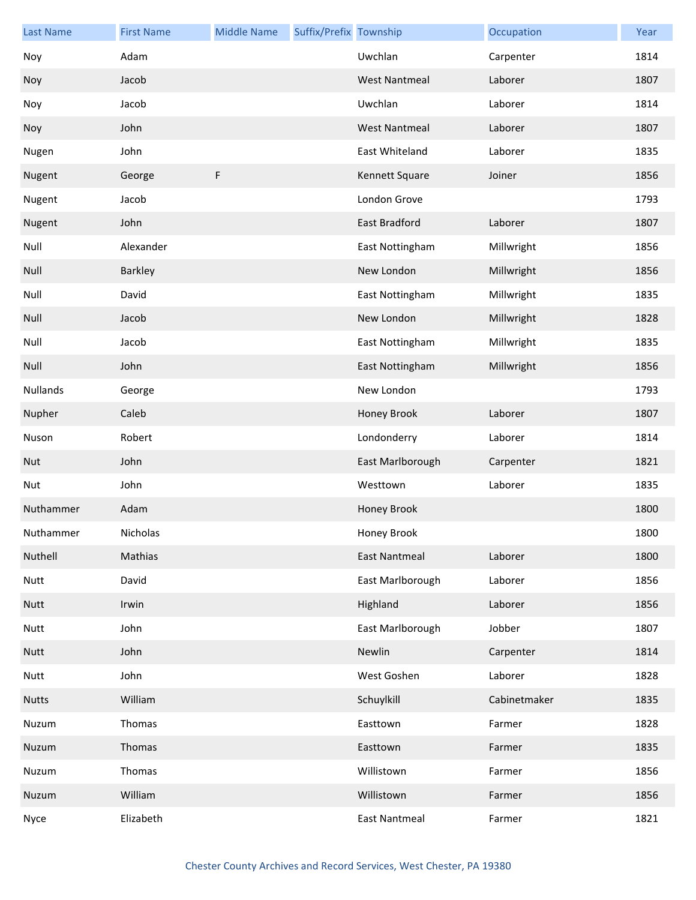| <b>Last Name</b> | <b>First Name</b> | <b>Middle Name</b> | Suffix/Prefix Township |                      | Occupation   | Year |
|------------------|-------------------|--------------------|------------------------|----------------------|--------------|------|
| Noy              | Adam              |                    |                        | Uwchlan              | Carpenter    | 1814 |
| Noy              | Jacob             |                    |                        | <b>West Nantmeal</b> | Laborer      | 1807 |
| Noy              | Jacob             |                    |                        | Uwchlan              | Laborer      | 1814 |
| Noy              | John              |                    |                        | <b>West Nantmeal</b> | Laborer      | 1807 |
| Nugen            | John              |                    |                        | East Whiteland       | Laborer      | 1835 |
| Nugent           | George            | F                  |                        | Kennett Square       | Joiner       | 1856 |
| Nugent           | Jacob             |                    |                        | London Grove         |              | 1793 |
| Nugent           | John              |                    |                        | East Bradford        | Laborer      | 1807 |
| Null             | Alexander         |                    |                        | East Nottingham      | Millwright   | 1856 |
| Null             | Barkley           |                    |                        | New London           | Millwright   | 1856 |
| Null             | David             |                    |                        | East Nottingham      | Millwright   | 1835 |
| Null             | Jacob             |                    |                        | New London           | Millwright   | 1828 |
| Null             | Jacob             |                    |                        | East Nottingham      | Millwright   | 1835 |
| Null             | John              |                    |                        | East Nottingham      | Millwright   | 1856 |
| <b>Nullands</b>  | George            |                    |                        | New London           |              | 1793 |
| Nupher           | Caleb             |                    |                        | Honey Brook          | Laborer      | 1807 |
| Nuson            | Robert            |                    |                        | Londonderry          | Laborer      | 1814 |
| Nut              | John              |                    |                        | East Marlborough     | Carpenter    | 1821 |
| Nut              | John              |                    |                        | Westtown             | Laborer      | 1835 |
| Nuthammer        | Adam              |                    |                        | Honey Brook          |              | 1800 |
| Nuthammer        | Nicholas          |                    |                        | Honey Brook          |              | 1800 |
| Nuthell          | Mathias           |                    |                        | <b>East Nantmeal</b> | Laborer      | 1800 |
| Nutt             | David             |                    |                        | East Marlborough     | Laborer      | 1856 |
| Nutt             | Irwin             |                    |                        | Highland             | Laborer      | 1856 |
| Nutt             | John              |                    |                        | East Marlborough     | Jobber       | 1807 |
| Nutt             | John              |                    |                        | Newlin               | Carpenter    | 1814 |
| Nutt             | John              |                    |                        | West Goshen          | Laborer      | 1828 |
| <b>Nutts</b>     | William           |                    |                        | Schuylkill           | Cabinetmaker | 1835 |
| Nuzum            | Thomas            |                    |                        | Easttown             | Farmer       | 1828 |
| Nuzum            | Thomas            |                    |                        | Easttown             | Farmer       | 1835 |
| Nuzum            | Thomas            |                    |                        | Willistown           | Farmer       | 1856 |
| Nuzum            | William           |                    |                        | Willistown           | Farmer       | 1856 |
| Nyce             | Elizabeth         |                    |                        | <b>East Nantmeal</b> | Farmer       | 1821 |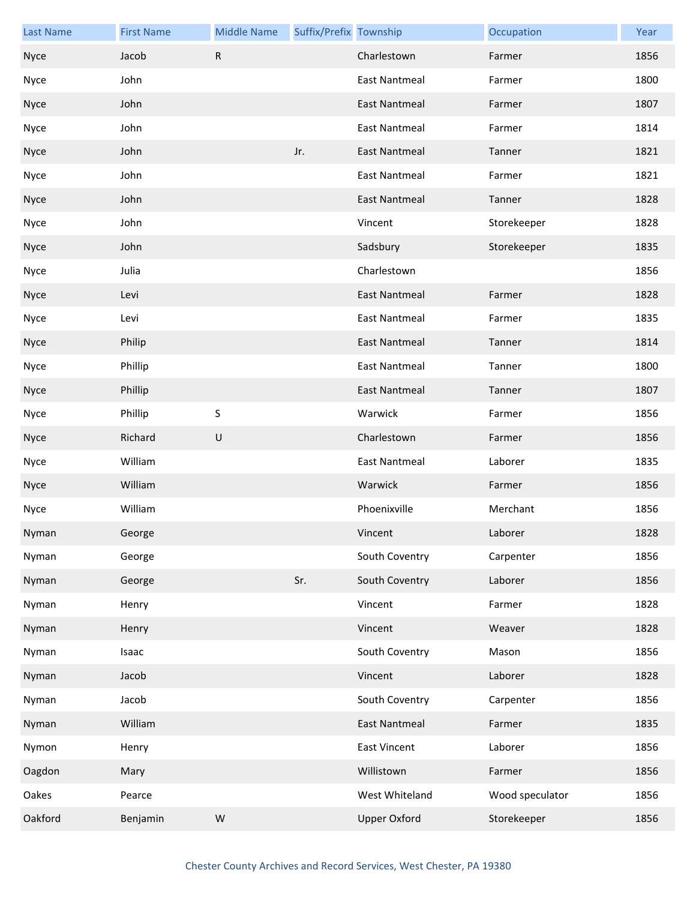| <b>Last Name</b> | <b>First Name</b> | <b>Middle Name</b> | Suffix/Prefix Township |                      | Occupation      | Year |
|------------------|-------------------|--------------------|------------------------|----------------------|-----------------|------|
| Nyce             | Jacob             | ${\sf R}$          |                        | Charlestown          | Farmer          | 1856 |
| Nyce             | John              |                    |                        | <b>East Nantmeal</b> | Farmer          | 1800 |
| Nyce             | John              |                    |                        | <b>East Nantmeal</b> | Farmer          | 1807 |
| Nyce             | John              |                    |                        | <b>East Nantmeal</b> | Farmer          | 1814 |
| Nyce             | John              |                    | Jr.                    | East Nantmeal        | Tanner          | 1821 |
| Nyce             | John              |                    |                        | <b>East Nantmeal</b> | Farmer          | 1821 |
| Nyce             | John              |                    |                        | <b>East Nantmeal</b> | Tanner          | 1828 |
| Nyce             | John              |                    |                        | Vincent              | Storekeeper     | 1828 |
| Nyce             | John              |                    |                        | Sadsbury             | Storekeeper     | 1835 |
| Nyce             | Julia             |                    |                        | Charlestown          |                 | 1856 |
| Nyce             | Levi              |                    |                        | <b>East Nantmeal</b> | Farmer          | 1828 |
| Nyce             | Levi              |                    |                        | <b>East Nantmeal</b> | Farmer          | 1835 |
| Nyce             | Philip            |                    |                        | East Nantmeal        | Tanner          | 1814 |
| Nyce             | Phillip           |                    |                        | <b>East Nantmeal</b> | Tanner          | 1800 |
| Nyce             | Phillip           |                    |                        | <b>East Nantmeal</b> | Tanner          | 1807 |
| Nyce             | Phillip           | $\sf S$            |                        | Warwick              | Farmer          | 1856 |
| Nyce             | Richard           | $\sf U$            |                        | Charlestown          | Farmer          | 1856 |
| Nyce             | William           |                    |                        | <b>East Nantmeal</b> | Laborer         | 1835 |
| Nyce             | William           |                    |                        | Warwick              | Farmer          | 1856 |
| Nyce             | William           |                    |                        | Phoenixville         | Merchant        | 1856 |
| Nyman            | George            |                    |                        | Vincent              | Laborer         | 1828 |
| Nyman            | George            |                    |                        | South Coventry       | Carpenter       | 1856 |
| Nyman            | George            |                    | Sr.                    | South Coventry       | Laborer         | 1856 |
| Nyman            | Henry             |                    |                        | Vincent              | Farmer          | 1828 |
| Nyman            | Henry             |                    |                        | Vincent              | Weaver          | 1828 |
| Nyman            | Isaac             |                    |                        | South Coventry       | Mason           | 1856 |
| Nyman            | Jacob             |                    |                        | Vincent              | Laborer         | 1828 |
| Nyman            | Jacob             |                    |                        | South Coventry       | Carpenter       | 1856 |
| Nyman            | William           |                    |                        | <b>East Nantmeal</b> | Farmer          | 1835 |
| Nymon            | Henry             |                    |                        | <b>East Vincent</b>  | Laborer         | 1856 |
| Oagdon           | Mary              |                    |                        | Willistown           | Farmer          | 1856 |
| Oakes            | Pearce            |                    |                        | West Whiteland       | Wood speculator | 1856 |
| Oakford          | Benjamin          | ${\sf W}$          |                        | <b>Upper Oxford</b>  | Storekeeper     | 1856 |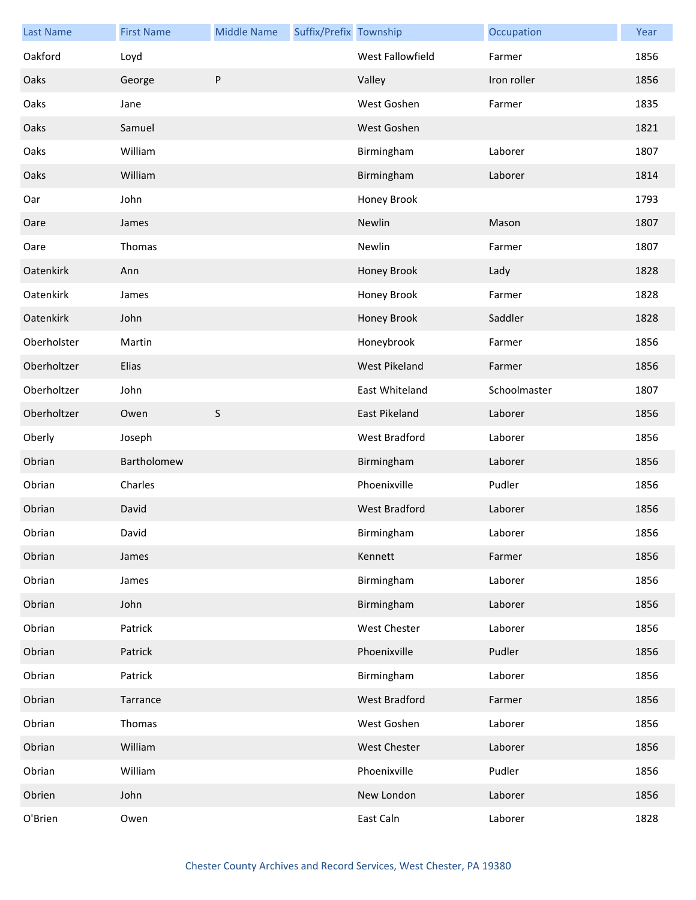| <b>Last Name</b> | <b>First Name</b> | <b>Middle Name</b> | Suffix/Prefix Township |                      | Occupation   | Year |
|------------------|-------------------|--------------------|------------------------|----------------------|--------------|------|
| Oakford          | Loyd              |                    |                        | West Fallowfield     | Farmer       | 1856 |
| Oaks             | George            | $\sf P$            |                        | Valley               | Iron roller  | 1856 |
| Oaks             | Jane              |                    |                        | West Goshen          | Farmer       | 1835 |
| Oaks             | Samuel            |                    |                        | West Goshen          |              | 1821 |
| Oaks             | William           |                    |                        | Birmingham           | Laborer      | 1807 |
| Oaks             | William           |                    |                        | Birmingham           | Laborer      | 1814 |
| Oar              | John              |                    |                        | Honey Brook          |              | 1793 |
| Oare             | James             |                    |                        | Newlin               | Mason        | 1807 |
| Oare             | Thomas            |                    |                        | Newlin               | Farmer       | 1807 |
| <b>Oatenkirk</b> | Ann               |                    |                        | Honey Brook          | Lady         | 1828 |
| Oatenkirk        | James             |                    |                        | Honey Brook          | Farmer       | 1828 |
| Oatenkirk        | John              |                    |                        | Honey Brook          | Saddler      | 1828 |
| Oberholster      | Martin            |                    |                        | Honeybrook           | Farmer       | 1856 |
| Oberholtzer      | Elias             |                    |                        | West Pikeland        | Farmer       | 1856 |
| Oberholtzer      | John              |                    |                        | East Whiteland       | Schoolmaster | 1807 |
| Oberholtzer      | Owen              | $\sf S$            |                        | East Pikeland        | Laborer      | 1856 |
| Oberly           | Joseph            |                    |                        | West Bradford        | Laborer      | 1856 |
| Obrian           | Bartholomew       |                    |                        | Birmingham           | Laborer      | 1856 |
| Obrian           | Charles           |                    |                        | Phoenixville         | Pudler       | 1856 |
| Obrian           | David             |                    |                        | <b>West Bradford</b> | Laborer      | 1856 |
| Obrian           | David             |                    |                        | Birmingham           | Laborer      | 1856 |
| Obrian           | James             |                    |                        | Kennett              | Farmer       | 1856 |
| Obrian           | James             |                    |                        | Birmingham           | Laborer      | 1856 |
| Obrian           | John              |                    |                        | Birmingham           | Laborer      | 1856 |
| Obrian           | Patrick           |                    |                        | West Chester         | Laborer      | 1856 |
| Obrian           | Patrick           |                    |                        | Phoenixville         | Pudler       | 1856 |
| Obrian           | Patrick           |                    |                        | Birmingham           | Laborer      | 1856 |
| Obrian           | Tarrance          |                    |                        | West Bradford        | Farmer       | 1856 |
| Obrian           | Thomas            |                    |                        | West Goshen          | Laborer      | 1856 |
| Obrian           | William           |                    |                        | <b>West Chester</b>  | Laborer      | 1856 |
| Obrian           | William           |                    |                        | Phoenixville         | Pudler       | 1856 |
| Obrien           | John              |                    |                        | New London           | Laborer      | 1856 |
| O'Brien          | Owen              |                    |                        | East Caln            | Laborer      | 1828 |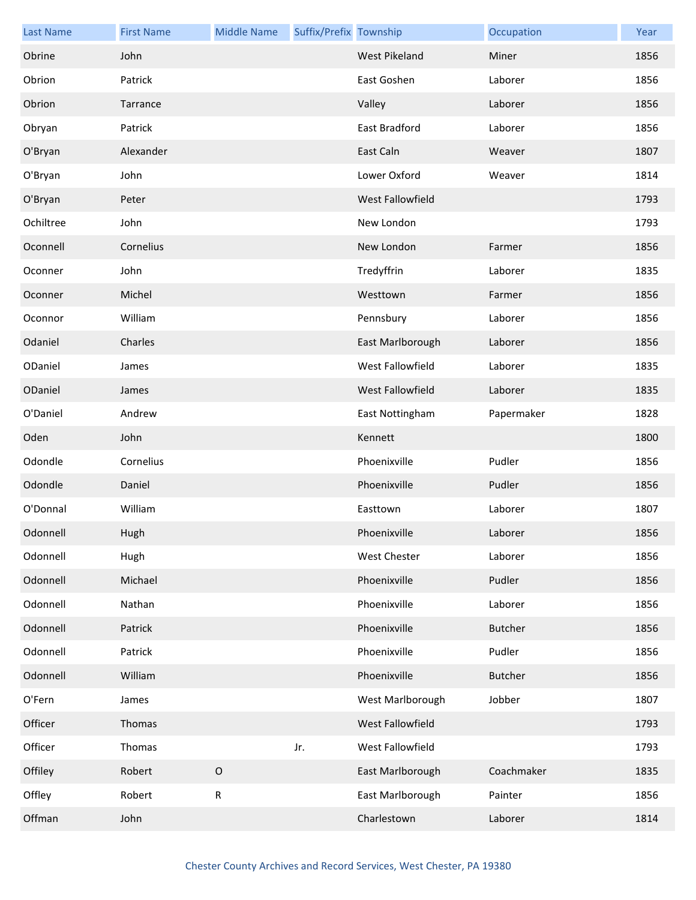| <b>Last Name</b> | <b>First Name</b> | <b>Middle Name</b> | Suffix/Prefix Township |                      | Occupation | Year |
|------------------|-------------------|--------------------|------------------------|----------------------|------------|------|
| Obrine           | John              |                    |                        | <b>West Pikeland</b> | Miner      | 1856 |
| Obrion           | Patrick           |                    |                        | East Goshen          | Laborer    | 1856 |
| Obrion           | Tarrance          |                    |                        | Valley               | Laborer    | 1856 |
| Obryan           | Patrick           |                    |                        | East Bradford        | Laborer    | 1856 |
| O'Bryan          | Alexander         |                    |                        | East Caln            | Weaver     | 1807 |
| O'Bryan          | John              |                    |                        | Lower Oxford         | Weaver     | 1814 |
| O'Bryan          | Peter             |                    |                        | West Fallowfield     |            | 1793 |
| Ochiltree        | John              |                    |                        | New London           |            | 1793 |
| Oconnell         | Cornelius         |                    |                        | New London           | Farmer     | 1856 |
| Oconner          | John              |                    |                        | Tredyffrin           | Laborer    | 1835 |
| Oconner          | Michel            |                    |                        | Westtown             | Farmer     | 1856 |
| Oconnor          | William           |                    |                        | Pennsbury            | Laborer    | 1856 |
| Odaniel          | Charles           |                    |                        | East Marlborough     | Laborer    | 1856 |
| ODaniel          | James             |                    |                        | West Fallowfield     | Laborer    | 1835 |
| ODaniel          | James             |                    |                        | West Fallowfield     | Laborer    | 1835 |
| O'Daniel         | Andrew            |                    |                        | East Nottingham      | Papermaker | 1828 |
| Oden             | John              |                    |                        | Kennett              |            | 1800 |
| Odondle          | Cornelius         |                    |                        | Phoenixville         | Pudler     | 1856 |
| Odondle          | Daniel            |                    |                        | Phoenixville         | Pudler     | 1856 |
| O'Donnal         | William           |                    |                        | Easttown             | Laborer    | 1807 |
| Odonnell         | Hugh              |                    |                        | Phoenixville         | Laborer    | 1856 |
| Odonnell         | Hugh              |                    |                        | <b>West Chester</b>  | Laborer    | 1856 |
| Odonnell         | Michael           |                    |                        | Phoenixville         | Pudler     | 1856 |
| Odonnell         | Nathan            |                    |                        | Phoenixville         | Laborer    | 1856 |
| Odonnell         | Patrick           |                    |                        | Phoenixville         | Butcher    | 1856 |
| Odonnell         | Patrick           |                    |                        | Phoenixville         | Pudler     | 1856 |
| Odonnell         | William           |                    |                        | Phoenixville         | Butcher    | 1856 |
| O'Fern           | James             |                    |                        | West Marlborough     | Jobber     | 1807 |
| Officer          | Thomas            |                    |                        | West Fallowfield     |            | 1793 |
| Officer          | Thomas            |                    | Jr.                    | West Fallowfield     |            | 1793 |
| Offiley          | Robert            | $\mathsf O$        |                        | East Marlborough     | Coachmaker | 1835 |
| Offley           | Robert            | ${\sf R}$          |                        | East Marlborough     | Painter    | 1856 |
| Offman           | John              |                    |                        | Charlestown          | Laborer    | 1814 |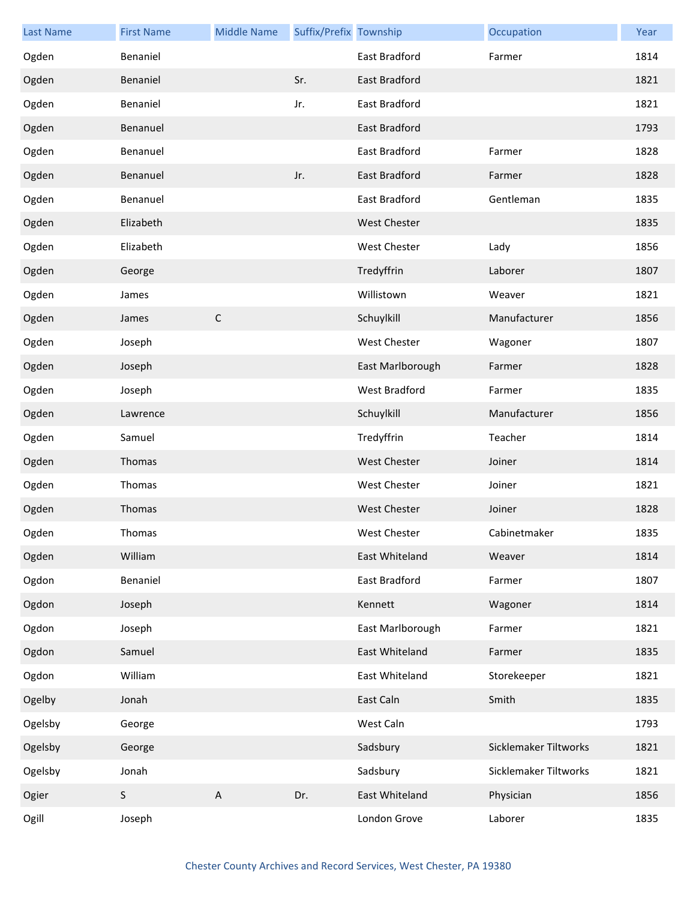| <b>Last Name</b> | <b>First Name</b> | <b>Middle Name</b> | Suffix/Prefix Township |                      | Occupation            | Year |
|------------------|-------------------|--------------------|------------------------|----------------------|-----------------------|------|
| Ogden            | Benaniel          |                    |                        | <b>East Bradford</b> | Farmer                | 1814 |
| Ogden            | Benaniel          |                    | Sr.                    | <b>East Bradford</b> |                       | 1821 |
| Ogden            | Benaniel          |                    | Jr.                    | East Bradford        |                       | 1821 |
| Ogden            | Benanuel          |                    |                        | East Bradford        |                       | 1793 |
| Ogden            | Benanuel          |                    |                        | East Bradford        | Farmer                | 1828 |
| Ogden            | Benanuel          |                    | Jr.                    | East Bradford        | Farmer                | 1828 |
| Ogden            | Benanuel          |                    |                        | East Bradford        | Gentleman             | 1835 |
| Ogden            | Elizabeth         |                    |                        | <b>West Chester</b>  |                       | 1835 |
| Ogden            | Elizabeth         |                    |                        | West Chester         | Lady                  | 1856 |
| Ogden            | George            |                    |                        | Tredyffrin           | Laborer               | 1807 |
| Ogden            | James             |                    |                        | Willistown           | Weaver                | 1821 |
| Ogden            | James             | $\mathsf C$        |                        | Schuylkill           | Manufacturer          | 1856 |
| Ogden            | Joseph            |                    |                        | West Chester         | Wagoner               | 1807 |
| Ogden            | Joseph            |                    |                        | East Marlborough     | Farmer                | 1828 |
| Ogden            | Joseph            |                    |                        | West Bradford        | Farmer                | 1835 |
| Ogden            | Lawrence          |                    |                        | Schuylkill           | Manufacturer          | 1856 |
| Ogden            | Samuel            |                    |                        | Tredyffrin           | Teacher               | 1814 |
| Ogden            | Thomas            |                    |                        | <b>West Chester</b>  | Joiner                | 1814 |
| Ogden            | Thomas            |                    |                        | <b>West Chester</b>  | Joiner                | 1821 |
| Ogden            | Thomas            |                    |                        | <b>West Chester</b>  | Joiner                | 1828 |
| Ogden            | Thomas            |                    |                        | West Chester         | Cabinetmaker          | 1835 |
| Ogden            | William           |                    |                        | East Whiteland       | Weaver                | 1814 |
| Ogdon            | Benaniel          |                    |                        | East Bradford        | Farmer                | 1807 |
| Ogdon            | Joseph            |                    |                        | Kennett              | Wagoner               | 1814 |
| Ogdon            | Joseph            |                    |                        | East Marlborough     | Farmer                | 1821 |
| Ogdon            | Samuel            |                    |                        | East Whiteland       | Farmer                | 1835 |
| Ogdon            | William           |                    |                        | East Whiteland       | Storekeeper           | 1821 |
| Ogelby           | Jonah             |                    |                        | East Caln            | Smith                 | 1835 |
| Ogelsby          | George            |                    |                        | West Caln            |                       | 1793 |
| Ogelsby          | George            |                    |                        | Sadsbury             | Sicklemaker Tiltworks | 1821 |
| Ogelsby          | Jonah             |                    |                        | Sadsbury             | Sicklemaker Tiltworks | 1821 |
| Ogier            | S                 | $\mathsf{A}$       | Dr.                    | East Whiteland       | Physician             | 1856 |
| Ogill            | Joseph            |                    |                        | London Grove         | Laborer               | 1835 |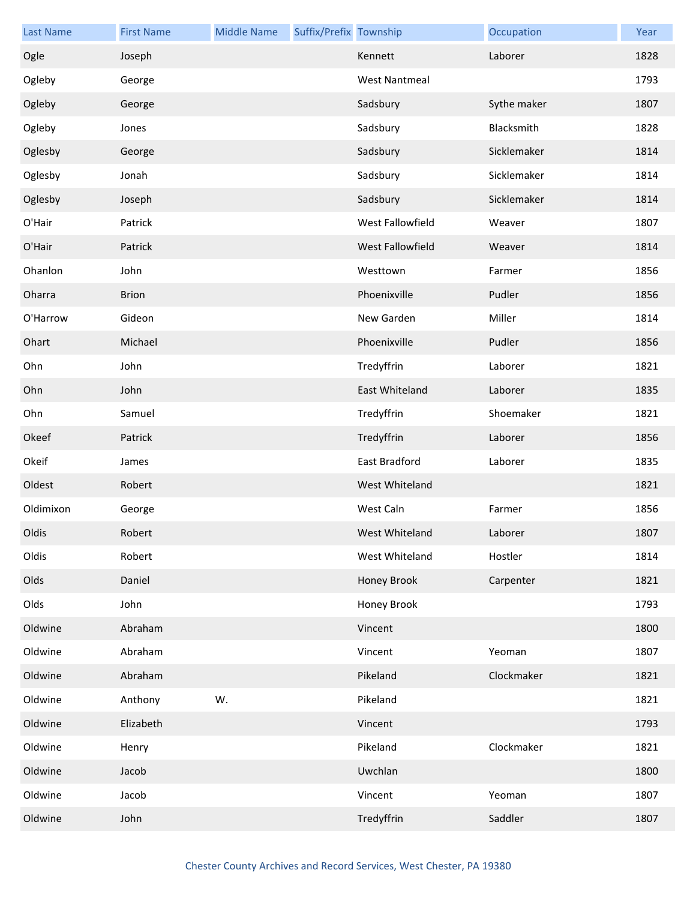| <b>Last Name</b> | <b>First Name</b> | <b>Middle Name</b> | Suffix/Prefix Township |                      | Occupation  | Year |
|------------------|-------------------|--------------------|------------------------|----------------------|-------------|------|
| Ogle             | Joseph            |                    |                        | Kennett              | Laborer     | 1828 |
| Ogleby           | George            |                    |                        | <b>West Nantmeal</b> |             | 1793 |
| Ogleby           | George            |                    |                        | Sadsbury             | Sythe maker | 1807 |
| Ogleby           | Jones             |                    |                        | Sadsbury             | Blacksmith  | 1828 |
| Oglesby          | George            |                    |                        | Sadsbury             | Sicklemaker | 1814 |
| Oglesby          | Jonah             |                    |                        | Sadsbury             | Sicklemaker | 1814 |
| Oglesby          | Joseph            |                    |                        | Sadsbury             | Sicklemaker | 1814 |
| O'Hair           | Patrick           |                    |                        | West Fallowfield     | Weaver      | 1807 |
| O'Hair           | Patrick           |                    |                        | West Fallowfield     | Weaver      | 1814 |
| Ohanlon          | John              |                    |                        | Westtown             | Farmer      | 1856 |
| Oharra           | <b>Brion</b>      |                    |                        | Phoenixville         | Pudler      | 1856 |
| O'Harrow         | Gideon            |                    |                        | New Garden           | Miller      | 1814 |
| Ohart            | Michael           |                    |                        | Phoenixville         | Pudler      | 1856 |
| Ohn              | John              |                    |                        | Tredyffrin           | Laborer     | 1821 |
| Ohn              | John              |                    |                        | East Whiteland       | Laborer     | 1835 |
| Ohn              | Samuel            |                    |                        | Tredyffrin           | Shoemaker   | 1821 |
| Okeef            | Patrick           |                    |                        | Tredyffrin           | Laborer     | 1856 |
| Okeif            | James             |                    |                        | East Bradford        | Laborer     | 1835 |
| Oldest           | Robert            |                    |                        | West Whiteland       |             | 1821 |
| Oldimixon        | George            |                    |                        | West Caln            | Farmer      | 1856 |
| Oldis            | Robert            |                    |                        | West Whiteland       | Laborer     | 1807 |
| Oldis            | Robert            |                    |                        | West Whiteland       | Hostler     | 1814 |
| Olds             | Daniel            |                    |                        | Honey Brook          | Carpenter   | 1821 |
| Olds             | John              |                    |                        | Honey Brook          |             | 1793 |
| Oldwine          | Abraham           |                    |                        | Vincent              |             | 1800 |
| Oldwine          | Abraham           |                    |                        | Vincent              | Yeoman      | 1807 |
| Oldwine          | Abraham           |                    |                        | Pikeland             | Clockmaker  | 1821 |
| Oldwine          | Anthony           | W.                 |                        | Pikeland             |             | 1821 |
| Oldwine          | Elizabeth         |                    |                        | Vincent              |             | 1793 |
| Oldwine          | Henry             |                    |                        | Pikeland             | Clockmaker  | 1821 |
| Oldwine          | Jacob             |                    |                        | Uwchlan              |             | 1800 |
| Oldwine          | Jacob             |                    |                        | Vincent              | Yeoman      | 1807 |
| Oldwine          | John              |                    |                        | Tredyffrin           | Saddler     | 1807 |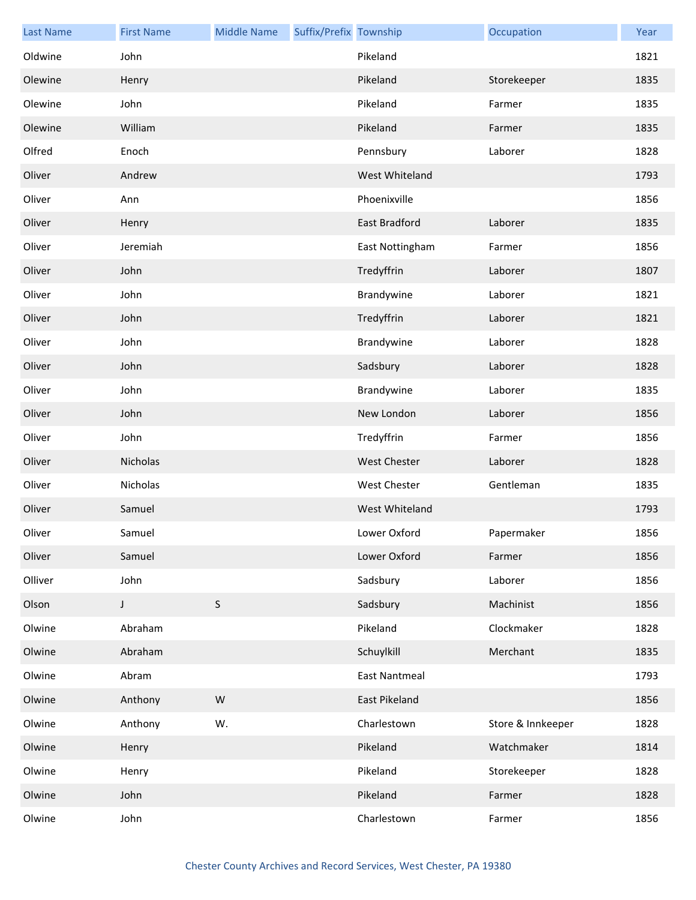| <b>Last Name</b> | <b>First Name</b> | <b>Middle Name</b> | Suffix/Prefix Township |                      | Occupation        | Year |
|------------------|-------------------|--------------------|------------------------|----------------------|-------------------|------|
| Oldwine          | John              |                    |                        | Pikeland             |                   | 1821 |
| Olewine          | Henry             |                    |                        | Pikeland             | Storekeeper       | 1835 |
| Olewine          | John              |                    |                        | Pikeland             | Farmer            | 1835 |
| Olewine          | William           |                    |                        | Pikeland             | Farmer            | 1835 |
| Olfred           | Enoch             |                    |                        | Pennsbury            | Laborer           | 1828 |
| Oliver           | Andrew            |                    |                        | West Whiteland       |                   | 1793 |
| Oliver           | Ann               |                    |                        | Phoenixville         |                   | 1856 |
| Oliver           | Henry             |                    |                        | East Bradford        | Laborer           | 1835 |
| Oliver           | Jeremiah          |                    |                        | East Nottingham      | Farmer            | 1856 |
| Oliver           | John              |                    |                        | Tredyffrin           | Laborer           | 1807 |
| Oliver           | John              |                    |                        | Brandywine           | Laborer           | 1821 |
| Oliver           | John              |                    |                        | Tredyffrin           | Laborer           | 1821 |
| Oliver           | John              |                    |                        | Brandywine           | Laborer           | 1828 |
| Oliver           | John              |                    |                        | Sadsbury             | Laborer           | 1828 |
| Oliver           | John              |                    |                        | Brandywine           | Laborer           | 1835 |
| Oliver           | John              |                    |                        | New London           | Laborer           | 1856 |
| Oliver           | John              |                    |                        | Tredyffrin           | Farmer            | 1856 |
| Oliver           | Nicholas          |                    |                        | <b>West Chester</b>  | Laborer           | 1828 |
| Oliver           | Nicholas          |                    |                        | West Chester         | Gentleman         | 1835 |
| Oliver           | Samuel            |                    |                        | West Whiteland       |                   | 1793 |
| Oliver           | Samuel            |                    |                        | Lower Oxford         | Papermaker        | 1856 |
| Oliver           | Samuel            |                    |                        | Lower Oxford         | Farmer            | 1856 |
| Olliver          | John              |                    |                        | Sadsbury             | Laborer           | 1856 |
| Olson            | J                 | $\mathsf S$        |                        | Sadsbury             | Machinist         | 1856 |
| Olwine           | Abraham           |                    |                        | Pikeland             | Clockmaker        | 1828 |
| Olwine           | Abraham           |                    |                        | Schuylkill           | Merchant          | 1835 |
| Olwine           | Abram             |                    |                        | <b>East Nantmeal</b> |                   | 1793 |
| Olwine           | Anthony           | ${\sf W}$          |                        | East Pikeland        |                   | 1856 |
| Olwine           | Anthony           | W.                 |                        | Charlestown          | Store & Innkeeper | 1828 |
| Olwine           | Henry             |                    |                        | Pikeland             | Watchmaker        | 1814 |
| Olwine           | Henry             |                    |                        | Pikeland             | Storekeeper       | 1828 |
| Olwine           | John              |                    |                        | Pikeland             | Farmer            | 1828 |
| Olwine           | John              |                    |                        | Charlestown          | Farmer            | 1856 |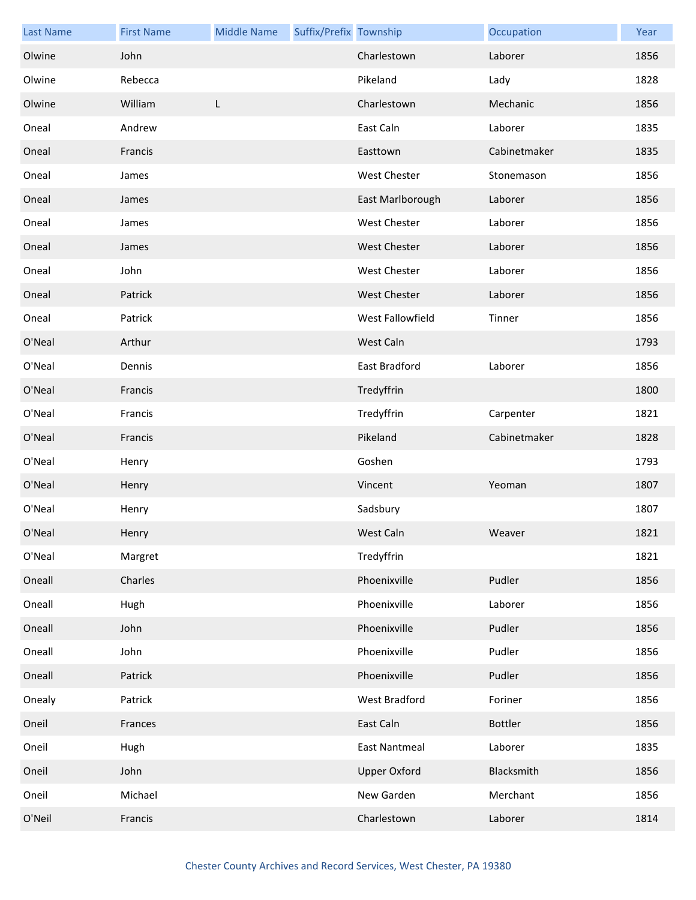| <b>Last Name</b> | <b>First Name</b> | <b>Middle Name</b> | Suffix/Prefix Township |                      | Occupation     | Year |
|------------------|-------------------|--------------------|------------------------|----------------------|----------------|------|
| Olwine           | John              |                    |                        | Charlestown          | Laborer        | 1856 |
| Olwine           | Rebecca           |                    |                        | Pikeland             | Lady           | 1828 |
| Olwine           | William           | L                  |                        | Charlestown          | Mechanic       | 1856 |
| Oneal            | Andrew            |                    |                        | East Caln            | Laborer        | 1835 |
| Oneal            | Francis           |                    |                        | Easttown             | Cabinetmaker   | 1835 |
| Oneal            | James             |                    |                        | West Chester         | Stonemason     | 1856 |
| Oneal            | James             |                    |                        | East Marlborough     | Laborer        | 1856 |
| Oneal            | James             |                    |                        | West Chester         | Laborer        | 1856 |
| Oneal            | James             |                    |                        | <b>West Chester</b>  | Laborer        | 1856 |
| Oneal            | John              |                    |                        | West Chester         | Laborer        | 1856 |
| Oneal            | Patrick           |                    |                        | <b>West Chester</b>  | Laborer        | 1856 |
| Oneal            | Patrick           |                    |                        | West Fallowfield     | Tinner         | 1856 |
| O'Neal           | Arthur            |                    |                        | West Caln            |                | 1793 |
| O'Neal           | Dennis            |                    |                        | East Bradford        | Laborer        | 1856 |
| O'Neal           | Francis           |                    |                        | Tredyffrin           |                | 1800 |
| O'Neal           | Francis           |                    |                        | Tredyffrin           | Carpenter      | 1821 |
| O'Neal           | Francis           |                    |                        | Pikeland             | Cabinetmaker   | 1828 |
| O'Neal           | Henry             |                    |                        | Goshen               |                | 1793 |
| O'Neal           | Henry             |                    |                        | Vincent              | Yeoman         | 1807 |
| O'Neal           | Henry             |                    |                        | Sadsbury             |                | 1807 |
| O'Neal           | Henry             |                    |                        | West Caln            | Weaver         | 1821 |
| O'Neal           | Margret           |                    |                        | Tredyffrin           |                | 1821 |
| Oneall           | Charles           |                    |                        | Phoenixville         | Pudler         | 1856 |
| Oneall           | Hugh              |                    |                        | Phoenixville         | Laborer        | 1856 |
| Oneall           | John              |                    |                        | Phoenixville         | Pudler         | 1856 |
| Oneall           | John              |                    |                        | Phoenixville         | Pudler         | 1856 |
| Oneall           | Patrick           |                    |                        | Phoenixville         | Pudler         | 1856 |
| Onealy           | Patrick           |                    |                        | West Bradford        | Foriner        | 1856 |
| Oneil            | Frances           |                    |                        | East Caln            | <b>Bottler</b> | 1856 |
| Oneil            | Hugh              |                    |                        | <b>East Nantmeal</b> | Laborer        | 1835 |
| Oneil            | John              |                    |                        | <b>Upper Oxford</b>  | Blacksmith     | 1856 |
| Oneil            | Michael           |                    |                        | New Garden           | Merchant       | 1856 |
| O'Neil           | Francis           |                    |                        | Charlestown          | Laborer        | 1814 |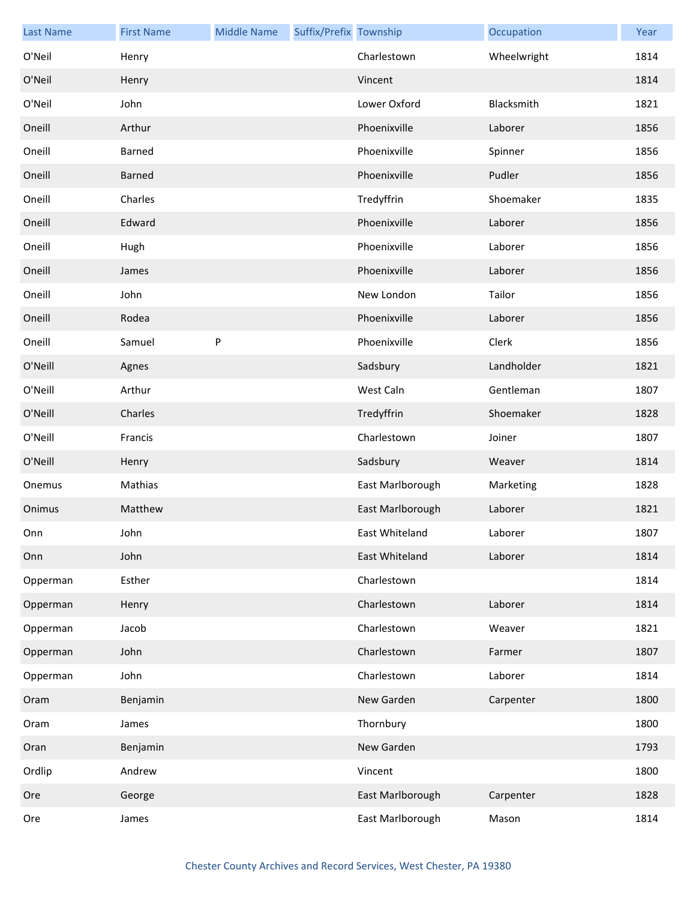| <b>Last Name</b> | <b>First Name</b> | <b>Middle Name</b> | Suffix/Prefix Township |                  | Occupation  | Year |
|------------------|-------------------|--------------------|------------------------|------------------|-------------|------|
| O'Neil           | Henry             |                    |                        | Charlestown      | Wheelwright | 1814 |
| O'Neil           | Henry             |                    |                        | Vincent          |             | 1814 |
| O'Neil           | John              |                    |                        | Lower Oxford     | Blacksmith  | 1821 |
| Oneill           | Arthur            |                    |                        | Phoenixville     | Laborer     | 1856 |
| Oneill           | Barned            |                    |                        | Phoenixville     | Spinner     | 1856 |
| Oneill           | <b>Barned</b>     |                    |                        | Phoenixville     | Pudler      | 1856 |
| Oneill           | Charles           |                    |                        | Tredyffrin       | Shoemaker   | 1835 |
| Oneill           | Edward            |                    |                        | Phoenixville     | Laborer     | 1856 |
| Oneill           | Hugh              |                    |                        | Phoenixville     | Laborer     | 1856 |
| Oneill           | James             |                    |                        | Phoenixville     | Laborer     | 1856 |
| Oneill           | John              |                    |                        | New London       | Tailor      | 1856 |
| Oneill           | Rodea             |                    |                        | Phoenixville     | Laborer     | 1856 |
| Oneill           | Samuel            | P                  |                        | Phoenixville     | Clerk       | 1856 |
| O'Neill          | Agnes             |                    |                        | Sadsbury         | Landholder  | 1821 |
| O'Neill          | Arthur            |                    |                        | West Caln        | Gentleman   | 1807 |
| O'Neill          | Charles           |                    |                        | Tredyffrin       | Shoemaker   | 1828 |
| O'Neill          | Francis           |                    |                        | Charlestown      | Joiner      | 1807 |
| O'Neill          | Henry             |                    |                        | Sadsbury         | Weaver      | 1814 |
| Onemus           | Mathias           |                    |                        | East Marlborough | Marketing   | 1828 |
| Onimus           | Matthew           |                    |                        | East Marlborough | Laborer     | 1821 |
| Onn              | John              |                    |                        | East Whiteland   | Laborer     | 1807 |
| Onn              | John              |                    |                        | East Whiteland   | Laborer     | 1814 |
| Opperman         | Esther            |                    |                        | Charlestown      |             | 1814 |
| Opperman         | Henry             |                    |                        | Charlestown      | Laborer     | 1814 |
| Opperman         | Jacob             |                    |                        | Charlestown      | Weaver      | 1821 |
| Opperman         | John              |                    |                        | Charlestown      | Farmer      | 1807 |
| Opperman         | John              |                    |                        | Charlestown      | Laborer     | 1814 |
| Oram             | Benjamin          |                    |                        | New Garden       | Carpenter   | 1800 |
| Oram             | James             |                    |                        | Thornbury        |             | 1800 |
| Oran             | Benjamin          |                    |                        | New Garden       |             | 1793 |
| Ordlip           | Andrew            |                    |                        | Vincent          |             | 1800 |
| Ore              | George            |                    |                        | East Marlborough | Carpenter   | 1828 |
| Ore              | James             |                    |                        | East Marlborough | Mason       | 1814 |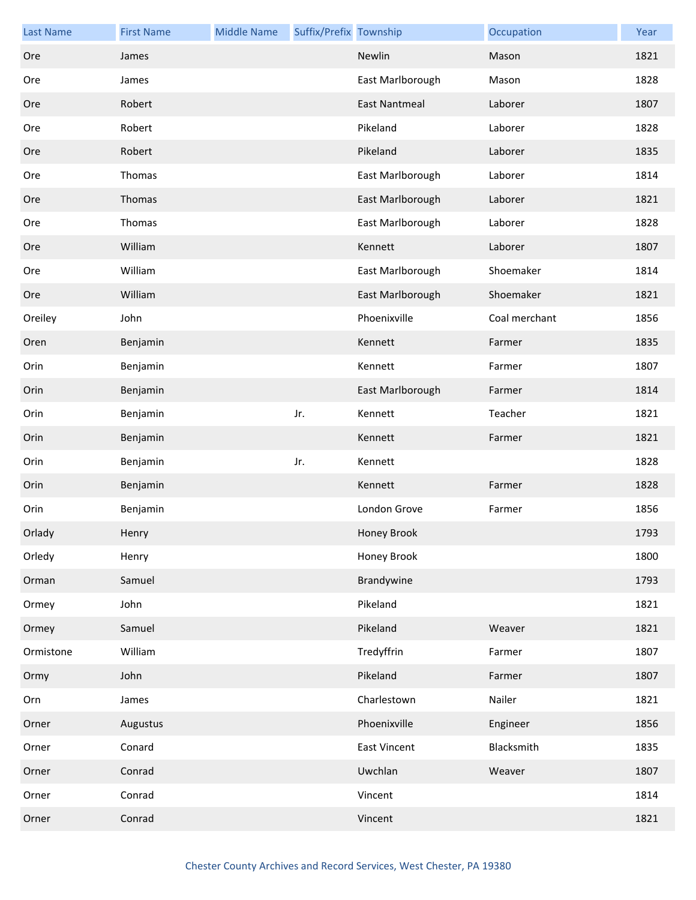| <b>Last Name</b> | <b>First Name</b> | <b>Middle Name</b> | Suffix/Prefix Township |                      | Occupation    | Year |
|------------------|-------------------|--------------------|------------------------|----------------------|---------------|------|
| Ore              | James             |                    |                        | Newlin               | Mason         | 1821 |
| Ore              | James             |                    |                        | East Marlborough     | Mason         | 1828 |
| Ore              | Robert            |                    |                        | <b>East Nantmeal</b> | Laborer       | 1807 |
| Ore              | Robert            |                    |                        | Pikeland             | Laborer       | 1828 |
| Ore              | Robert            |                    |                        | Pikeland             | Laborer       | 1835 |
| Ore              | Thomas            |                    |                        | East Marlborough     | Laborer       | 1814 |
| Ore              | Thomas            |                    |                        | East Marlborough     | Laborer       | 1821 |
| Ore              | Thomas            |                    |                        | East Marlborough     | Laborer       | 1828 |
| Ore              | William           |                    |                        | Kennett              | Laborer       | 1807 |
| Ore              | William           |                    |                        | East Marlborough     | Shoemaker     | 1814 |
| Ore              | William           |                    |                        | East Marlborough     | Shoemaker     | 1821 |
| Oreiley          | John              |                    |                        | Phoenixville         | Coal merchant | 1856 |
| Oren             | Benjamin          |                    |                        | Kennett              | Farmer        | 1835 |
| Orin             | Benjamin          |                    |                        | Kennett              | Farmer        | 1807 |
| Orin             | Benjamin          |                    |                        | East Marlborough     | Farmer        | 1814 |
| Orin             | Benjamin          |                    | Jr.                    | Kennett              | Teacher       | 1821 |
| Orin             | Benjamin          |                    |                        | Kennett              | Farmer        | 1821 |
| Orin             | Benjamin          |                    | Jr.                    | Kennett              |               | 1828 |
| Orin             | Benjamin          |                    |                        | Kennett              | Farmer        | 1828 |
| Orin             | Benjamin          |                    |                        | London Grove         | Farmer        | 1856 |
| Orlady           | Henry             |                    |                        | Honey Brook          |               | 1793 |
| Orledy           | Henry             |                    |                        | Honey Brook          |               | 1800 |
| Orman            | Samuel            |                    |                        | Brandywine           |               | 1793 |
| Ormey            | John              |                    |                        | Pikeland             |               | 1821 |
| Ormey            | Samuel            |                    |                        | Pikeland             | Weaver        | 1821 |
| Ormistone        | William           |                    |                        | Tredyffrin           | Farmer        | 1807 |
| Ormy             | John              |                    |                        | Pikeland             | Farmer        | 1807 |
| Orn              | James             |                    |                        | Charlestown          | Nailer        | 1821 |
| Orner            | Augustus          |                    |                        | Phoenixville         | Engineer      | 1856 |
| Orner            | Conard            |                    |                        | East Vincent         | Blacksmith    | 1835 |
| Orner            | Conrad            |                    |                        | Uwchlan              | Weaver        | 1807 |
| Orner            | Conrad            |                    |                        | Vincent              |               | 1814 |
| Orner            | Conrad            |                    |                        | Vincent              |               | 1821 |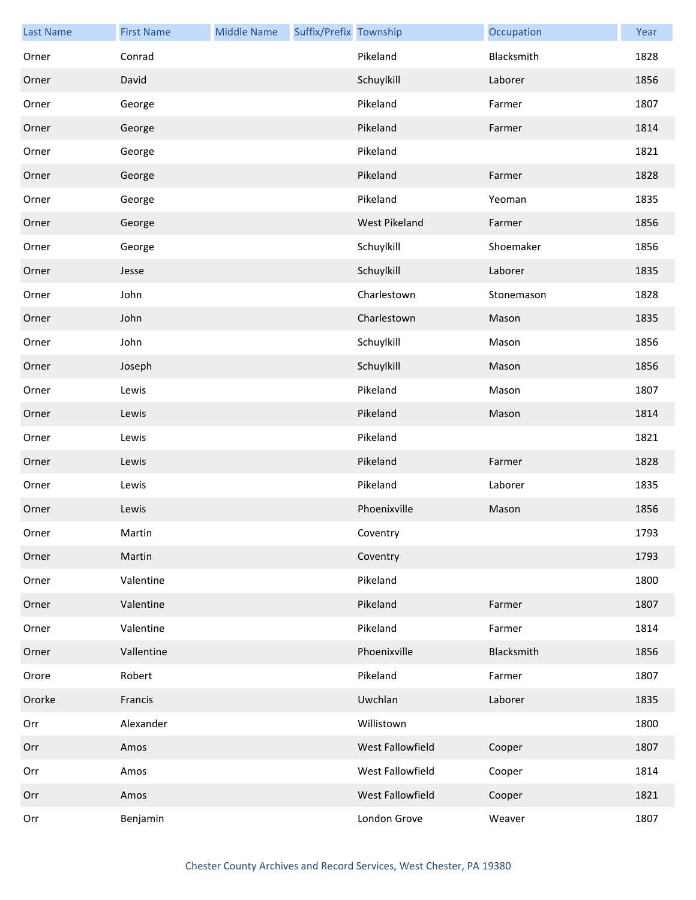| <b>Last Name</b> | <b>First Name</b> | <b>Middle Name</b> | Suffix/Prefix Township |                  | Occupation | Year |
|------------------|-------------------|--------------------|------------------------|------------------|------------|------|
| Orner            | Conrad            |                    |                        | Pikeland         | Blacksmith | 1828 |
| Orner            | David             |                    |                        | Schuylkill       | Laborer    | 1856 |
| Orner            | George            |                    |                        | Pikeland         | Farmer     | 1807 |
| Orner            | George            |                    |                        | Pikeland         | Farmer     | 1814 |
| Orner            | George            |                    |                        | Pikeland         |            | 1821 |
| Orner            | George            |                    |                        | Pikeland         | Farmer     | 1828 |
| Orner            | George            |                    |                        | Pikeland         | Yeoman     | 1835 |
| Orner            | George            |                    |                        | West Pikeland    | Farmer     | 1856 |
| Orner            | George            |                    |                        | Schuylkill       | Shoemaker  | 1856 |
| Orner            | Jesse             |                    |                        | Schuylkill       | Laborer    | 1835 |
| Orner            | John              |                    |                        | Charlestown      | Stonemason | 1828 |
| Orner            | John              |                    |                        | Charlestown      | Mason      | 1835 |
| Orner            | John              |                    |                        | Schuylkill       | Mason      | 1856 |
| Orner            | Joseph            |                    |                        | Schuylkill       | Mason      | 1856 |
| Orner            | Lewis             |                    |                        | Pikeland         | Mason      | 1807 |
| Orner            | Lewis             |                    |                        | Pikeland         | Mason      | 1814 |
| Orner            | Lewis             |                    |                        | Pikeland         |            | 1821 |
| Orner            | Lewis             |                    |                        | Pikeland         | Farmer     | 1828 |
| Orner            | Lewis             |                    |                        | Pikeland         | Laborer    | 1835 |
| Orner            | Lewis             |                    |                        | Phoenixville     | Mason      | 1856 |
| Orner            | Martin            |                    |                        | Coventry         |            | 1793 |
| Orner            | Martin            |                    |                        | Coventry         |            | 1793 |
| Orner            | Valentine         |                    |                        | Pikeland         |            | 1800 |
| Orner            | Valentine         |                    |                        | Pikeland         | Farmer     | 1807 |
| Orner            | Valentine         |                    |                        | Pikeland         | Farmer     | 1814 |
| Orner            | Vallentine        |                    |                        | Phoenixville     | Blacksmith | 1856 |
| Orore            | Robert            |                    |                        | Pikeland         | Farmer     | 1807 |
| Ororke           | Francis           |                    |                        | Uwchlan          | Laborer    | 1835 |
| Orr              | Alexander         |                    |                        | Willistown       |            | 1800 |
| Orr              | Amos              |                    |                        | West Fallowfield | Cooper     | 1807 |
| Orr              | Amos              |                    |                        | West Fallowfield | Cooper     | 1814 |
| Orr              | Amos              |                    |                        | West Fallowfield | Cooper     | 1821 |
| Orr              | Benjamin          |                    |                        | London Grove     | Weaver     | 1807 |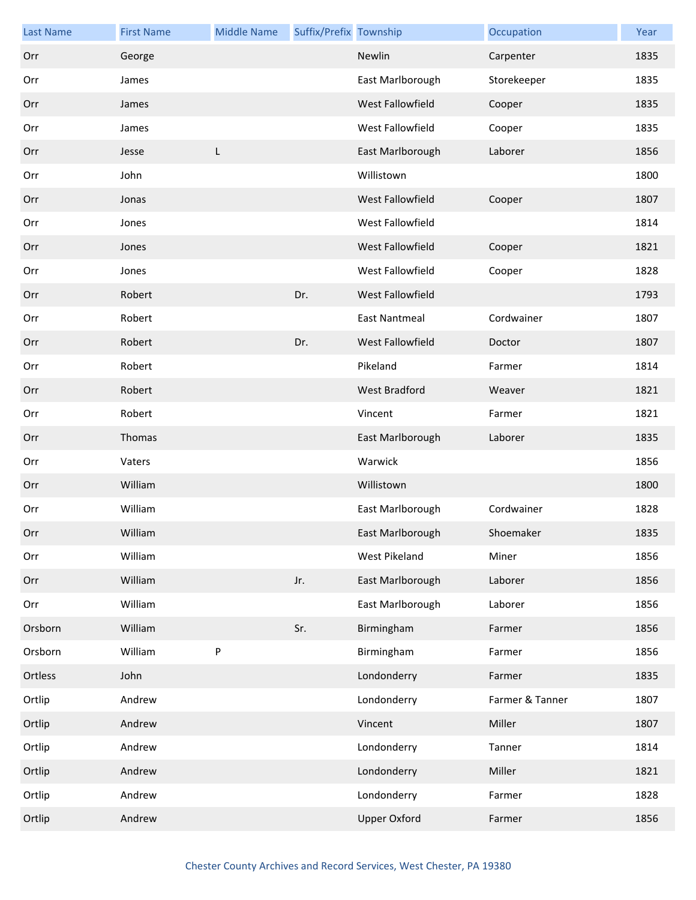| <b>Last Name</b> | <b>First Name</b> | <b>Middle Name</b> | Suffix/Prefix Township |                      | Occupation      | Year |
|------------------|-------------------|--------------------|------------------------|----------------------|-----------------|------|
| Orr              | George            |                    |                        | Newlin               | Carpenter       | 1835 |
| Orr              | James             |                    |                        | East Marlborough     | Storekeeper     | 1835 |
| Orr              | James             |                    |                        | West Fallowfield     | Cooper          | 1835 |
| Orr              | James             |                    |                        | West Fallowfield     | Cooper          | 1835 |
| Orr              | Jesse             | L                  |                        | East Marlborough     | Laborer         | 1856 |
| Orr              | John              |                    |                        | Willistown           |                 | 1800 |
| Orr              | Jonas             |                    |                        | West Fallowfield     | Cooper          | 1807 |
| Orr              | Jones             |                    |                        | West Fallowfield     |                 | 1814 |
| Orr              | Jones             |                    |                        | West Fallowfield     | Cooper          | 1821 |
| Orr              | Jones             |                    |                        | West Fallowfield     | Cooper          | 1828 |
| Orr              | Robert            |                    | Dr.                    | West Fallowfield     |                 | 1793 |
| Orr              | Robert            |                    |                        | <b>East Nantmeal</b> | Cordwainer      | 1807 |
| Orr              | Robert            |                    | Dr.                    | West Fallowfield     | Doctor          | 1807 |
| Orr              | Robert            |                    |                        | Pikeland             | Farmer          | 1814 |
| Orr              | Robert            |                    |                        | <b>West Bradford</b> | Weaver          | 1821 |
| Orr              | Robert            |                    |                        | Vincent              | Farmer          | 1821 |
| Orr              | Thomas            |                    |                        | East Marlborough     | Laborer         | 1835 |
| Orr              | Vaters            |                    |                        | Warwick              |                 | 1856 |
| Orr              | William           |                    |                        | Willistown           |                 | 1800 |
| Orr              | William           |                    |                        | East Marlborough     | Cordwainer      | 1828 |
| Orr              | William           |                    |                        | East Marlborough     | Shoemaker       | 1835 |
| Orr              | William           |                    |                        | West Pikeland        | Miner           | 1856 |
| Orr              | William           |                    | Jr.                    | East Marlborough     | Laborer         | 1856 |
| Orr              | William           |                    |                        | East Marlborough     | Laborer         | 1856 |
| Orsborn          | William           |                    | Sr.                    | Birmingham           | Farmer          | 1856 |
| Orsborn          | William           | $\sf P$            |                        | Birmingham           | Farmer          | 1856 |
| Ortless          | John              |                    |                        | Londonderry          | Farmer          | 1835 |
| Ortlip           | Andrew            |                    |                        | Londonderry          | Farmer & Tanner | 1807 |
| Ortlip           | Andrew            |                    |                        | Vincent              | Miller          | 1807 |
| Ortlip           | Andrew            |                    |                        | Londonderry          | Tanner          | 1814 |
| Ortlip           | Andrew            |                    |                        | Londonderry          | Miller          | 1821 |
| Ortlip           | Andrew            |                    |                        | Londonderry          | Farmer          | 1828 |
| Ortlip           | Andrew            |                    |                        | <b>Upper Oxford</b>  | Farmer          | 1856 |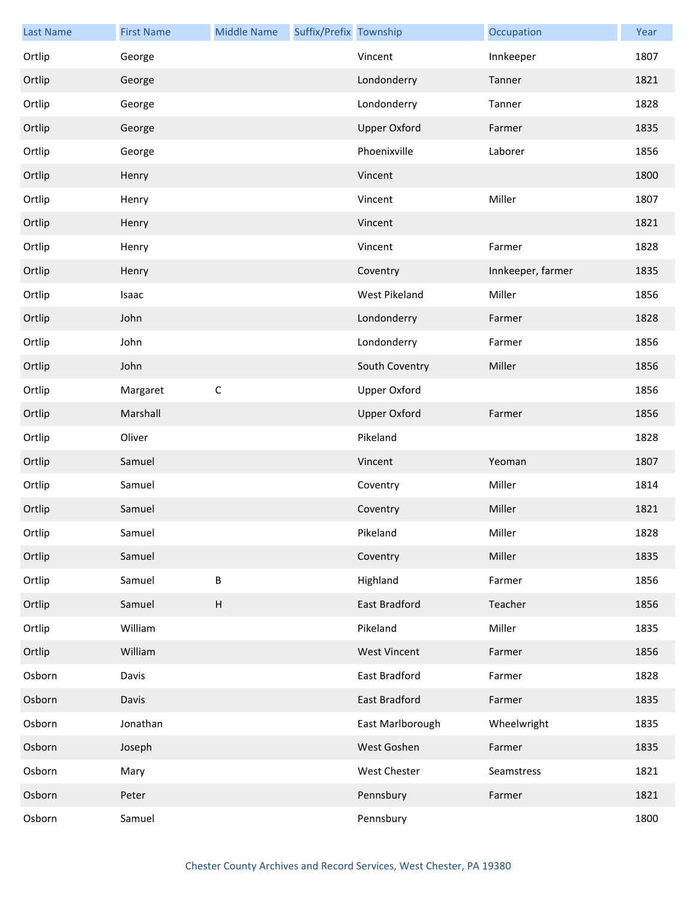| <b>Last Name</b> | <b>First Name</b> | <b>Middle Name</b> | Suffix/Prefix Township |                     | Occupation        | Year |
|------------------|-------------------|--------------------|------------------------|---------------------|-------------------|------|
| Ortlip           | George            |                    |                        | Vincent             | Innkeeper         | 1807 |
| Ortlip           | George            |                    |                        | Londonderry         | Tanner            | 1821 |
| Ortlip           | George            |                    |                        | Londonderry         | Tanner            | 1828 |
| Ortlip           | George            |                    |                        | <b>Upper Oxford</b> | Farmer            | 1835 |
| Ortlip           | George            |                    |                        | Phoenixville        | Laborer           | 1856 |
| Ortlip           | Henry             |                    |                        | Vincent             |                   | 1800 |
| Ortlip           | Henry             |                    |                        | Vincent             | Miller            | 1807 |
| Ortlip           | Henry             |                    |                        | Vincent             |                   | 1821 |
| Ortlip           | Henry             |                    |                        | Vincent             | Farmer            | 1828 |
| Ortlip           | Henry             |                    |                        | Coventry            | Innkeeper, farmer | 1835 |
| Ortlip           | Isaac             |                    |                        | West Pikeland       | Miller            | 1856 |
| Ortlip           | John              |                    |                        | Londonderry         | Farmer            | 1828 |
| Ortlip           | John              |                    |                        | Londonderry         | Farmer            | 1856 |
| Ortlip           | John              |                    |                        | South Coventry      | Miller            | 1856 |
| Ortlip           | Margaret          | $\mathsf C$        |                        | <b>Upper Oxford</b> |                   | 1856 |
| Ortlip           | Marshall          |                    |                        | <b>Upper Oxford</b> | Farmer            | 1856 |
| Ortlip           | Oliver            |                    |                        | Pikeland            |                   | 1828 |
| Ortlip           | Samuel            |                    |                        | Vincent             | Yeoman            | 1807 |
| Ortlip           | Samuel            |                    |                        | Coventry            | Miller            | 1814 |
| Ortlip           | Samuel            |                    |                        | Coventry            | Miller            | 1821 |
| Ortlip           | Samuel            |                    |                        | Pikeland            | Miller            | 1828 |
| Ortlip           | Samuel            |                    |                        | Coventry            | Miller            | 1835 |
| Ortlip           | Samuel            | $\sf B$            |                        | Highland            | Farmer            | 1856 |
| Ortlip           | Samuel            | H                  |                        | East Bradford       | Teacher           | 1856 |
| Ortlip           | William           |                    |                        | Pikeland            | Miller            | 1835 |
| Ortlip           | William           |                    |                        | <b>West Vincent</b> | Farmer            | 1856 |
| Osborn           | Davis             |                    |                        | East Bradford       | Farmer            | 1828 |
| Osborn           | Davis             |                    |                        | East Bradford       | Farmer            | 1835 |
| Osborn           | Jonathan          |                    |                        | East Marlborough    | Wheelwright       | 1835 |
| Osborn           | Joseph            |                    |                        | West Goshen         | Farmer            | 1835 |
| Osborn           | Mary              |                    |                        | West Chester        | Seamstress        | 1821 |
| Osborn           | Peter             |                    |                        | Pennsbury           | Farmer            | 1821 |
| Osborn           | Samuel            |                    |                        | Pennsbury           |                   | 1800 |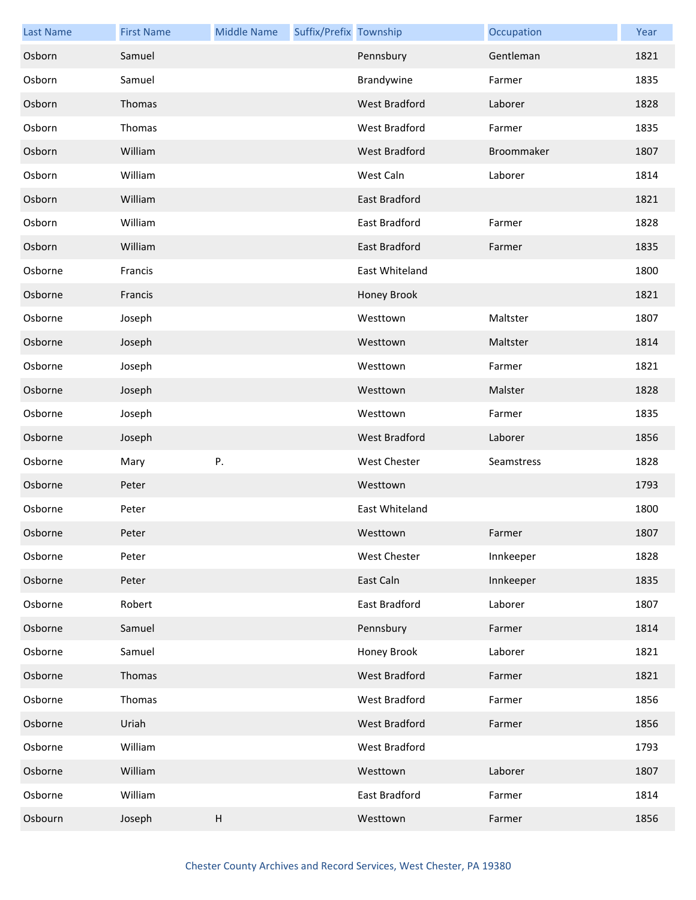| <b>Last Name</b> | <b>First Name</b> | <b>Middle Name</b> | Suffix/Prefix Township |                      | Occupation | Year |
|------------------|-------------------|--------------------|------------------------|----------------------|------------|------|
| Osborn           | Samuel            |                    |                        | Pennsbury            | Gentleman  | 1821 |
| Osborn           | Samuel            |                    |                        | Brandywine           | Farmer     | 1835 |
| Osborn           | Thomas            |                    |                        | West Bradford        | Laborer    | 1828 |
| Osborn           | Thomas            |                    |                        | West Bradford        | Farmer     | 1835 |
| Osborn           | William           |                    |                        | West Bradford        | Broommaker | 1807 |
| Osborn           | William           |                    |                        | West Caln            | Laborer    | 1814 |
| Osborn           | William           |                    |                        | <b>East Bradford</b> |            | 1821 |
| Osborn           | William           |                    |                        | East Bradford        | Farmer     | 1828 |
| Osborn           | William           |                    |                        | <b>East Bradford</b> | Farmer     | 1835 |
| Osborne          | Francis           |                    |                        | East Whiteland       |            | 1800 |
| Osborne          | Francis           |                    |                        | Honey Brook          |            | 1821 |
| Osborne          | Joseph            |                    |                        | Westtown             | Maltster   | 1807 |
| Osborne          | Joseph            |                    |                        | Westtown             | Maltster   | 1814 |
| Osborne          | Joseph            |                    |                        | Westtown             | Farmer     | 1821 |
| Osborne          | Joseph            |                    |                        | Westtown             | Malster    | 1828 |
| Osborne          | Joseph            |                    |                        | Westtown             | Farmer     | 1835 |
| Osborne          | Joseph            |                    |                        | <b>West Bradford</b> | Laborer    | 1856 |
| Osborne          | Mary              | P.                 |                        | <b>West Chester</b>  | Seamstress | 1828 |
| Osborne          | Peter             |                    |                        | Westtown             |            | 1793 |
| Osborne          | Peter             |                    |                        | East Whiteland       |            | 1800 |
| Osborne          | Peter             |                    |                        | Westtown             | Farmer     | 1807 |
| Osborne          | Peter             |                    |                        | <b>West Chester</b>  | Innkeeper  | 1828 |
| Osborne          | Peter             |                    |                        | East Caln            | Innkeeper  | 1835 |
| Osborne          | Robert            |                    |                        | East Bradford        | Laborer    | 1807 |
| Osborne          | Samuel            |                    |                        | Pennsbury            | Farmer     | 1814 |
| Osborne          | Samuel            |                    |                        | Honey Brook          | Laborer    | 1821 |
| Osborne          | Thomas            |                    |                        | West Bradford        | Farmer     | 1821 |
| Osborne          | Thomas            |                    |                        | West Bradford        | Farmer     | 1856 |
| Osborne          | Uriah             |                    |                        | West Bradford        | Farmer     | 1856 |
| Osborne          | William           |                    |                        | West Bradford        |            | 1793 |
| Osborne          | William           |                    |                        | Westtown             | Laborer    | 1807 |
| Osborne          | William           |                    |                        | East Bradford        | Farmer     | 1814 |
| Osbourn          | Joseph            | H                  |                        | Westtown             | Farmer     | 1856 |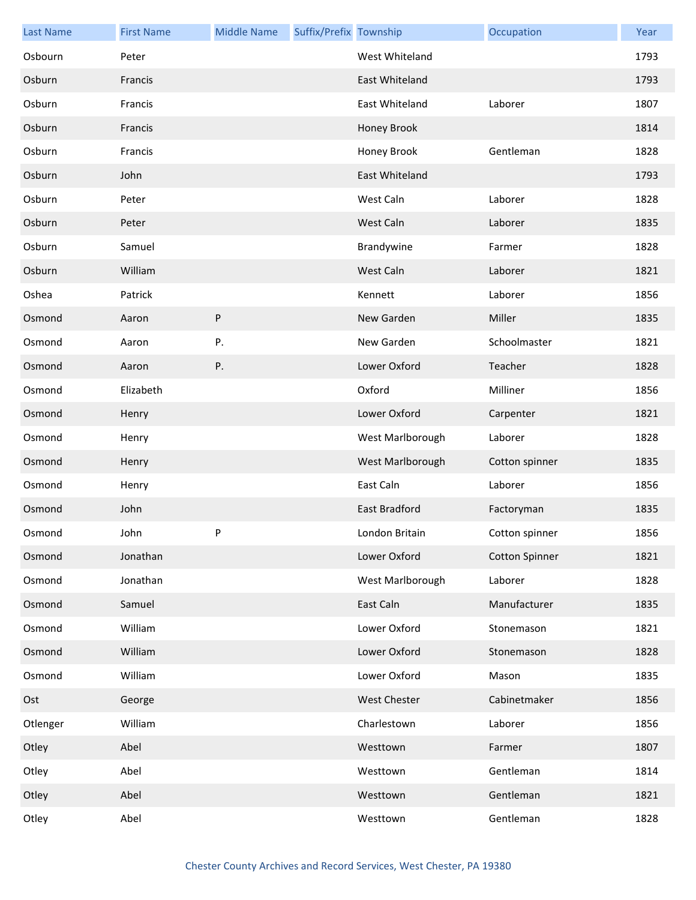| <b>Last Name</b> | <b>First Name</b> | <b>Middle Name</b> | Suffix/Prefix Township |                  | Occupation            | Year |
|------------------|-------------------|--------------------|------------------------|------------------|-----------------------|------|
| Osbourn          | Peter             |                    |                        | West Whiteland   |                       | 1793 |
| Osburn           | Francis           |                    |                        | East Whiteland   |                       | 1793 |
| Osburn           | Francis           |                    |                        | East Whiteland   | Laborer               | 1807 |
| Osburn           | Francis           |                    |                        | Honey Brook      |                       | 1814 |
| Osburn           | Francis           |                    |                        | Honey Brook      | Gentleman             | 1828 |
| Osburn           | John              |                    |                        | East Whiteland   |                       | 1793 |
| Osburn           | Peter             |                    |                        | West Caln        | Laborer               | 1828 |
| Osburn           | Peter             |                    |                        | West Caln        | Laborer               | 1835 |
| Osburn           | Samuel            |                    |                        | Brandywine       | Farmer                | 1828 |
| Osburn           | William           |                    |                        | West Caln        | Laborer               | 1821 |
| Oshea            | Patrick           |                    |                        | Kennett          | Laborer               | 1856 |
| Osmond           | Aaron             | P                  |                        | New Garden       | Miller                | 1835 |
| Osmond           | Aaron             | Ρ.                 |                        | New Garden       | Schoolmaster          | 1821 |
| Osmond           | Aaron             | Ρ.                 |                        | Lower Oxford     | Teacher               | 1828 |
| Osmond           | Elizabeth         |                    |                        | Oxford           | Milliner              | 1856 |
| Osmond           | Henry             |                    |                        | Lower Oxford     | Carpenter             | 1821 |
| Osmond           | Henry             |                    |                        | West Marlborough | Laborer               | 1828 |
| Osmond           | Henry             |                    |                        | West Marlborough | Cotton spinner        | 1835 |
| Osmond           | Henry             |                    |                        | East Caln        | Laborer               | 1856 |
| Osmond           | John              |                    |                        | East Bradford    | Factoryman            | 1835 |
| Osmond           | John              | P                  |                        | London Britain   | Cotton spinner        | 1856 |
| Osmond           | Jonathan          |                    |                        | Lower Oxford     | <b>Cotton Spinner</b> | 1821 |
| Osmond           | Jonathan          |                    |                        | West Marlborough | Laborer               | 1828 |
| Osmond           | Samuel            |                    |                        | East Caln        | Manufacturer          | 1835 |
| Osmond           | William           |                    |                        | Lower Oxford     | Stonemason            | 1821 |
| Osmond           | William           |                    |                        | Lower Oxford     | Stonemason            | 1828 |
| Osmond           | William           |                    |                        | Lower Oxford     | Mason                 | 1835 |
| Ost              | George            |                    |                        | West Chester     | Cabinetmaker          | 1856 |
| Otlenger         | William           |                    |                        | Charlestown      | Laborer               | 1856 |
| Otley            | Abel              |                    |                        | Westtown         | Farmer                | 1807 |
| Otley            | Abel              |                    |                        | Westtown         | Gentleman             | 1814 |
| Otley            | Abel              |                    |                        | Westtown         | Gentleman             | 1821 |
| Otley            | Abel              |                    |                        | Westtown         | Gentleman             | 1828 |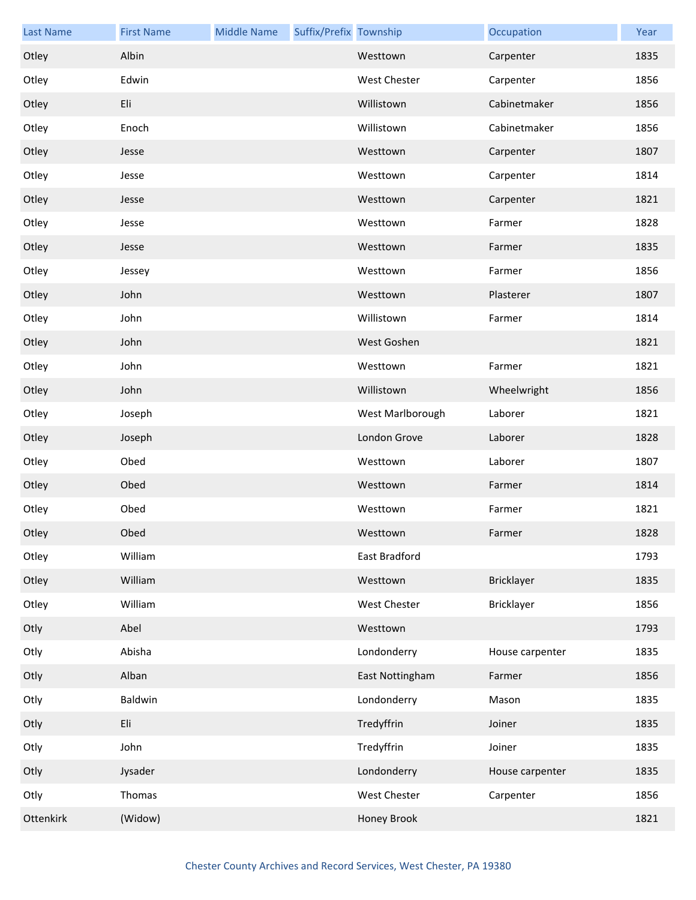| <b>Last Name</b> | <b>First Name</b> | <b>Middle Name</b> | Suffix/Prefix Township |                     | Occupation      | Year |
|------------------|-------------------|--------------------|------------------------|---------------------|-----------------|------|
| Otley            | Albin             |                    |                        | Westtown            | Carpenter       | 1835 |
| Otley            | Edwin             |                    |                        | <b>West Chester</b> | Carpenter       | 1856 |
| Otley            | Eli               |                    |                        | Willistown          | Cabinetmaker    | 1856 |
| Otley            | Enoch             |                    |                        | Willistown          | Cabinetmaker    | 1856 |
| Otley            | Jesse             |                    |                        | Westtown            | Carpenter       | 1807 |
| Otley            | Jesse             |                    |                        | Westtown            | Carpenter       | 1814 |
| Otley            | Jesse             |                    |                        | Westtown            | Carpenter       | 1821 |
| Otley            | Jesse             |                    |                        | Westtown            | Farmer          | 1828 |
| Otley            | Jesse             |                    |                        | Westtown            | Farmer          | 1835 |
| Otley            | Jessey            |                    |                        | Westtown            | Farmer          | 1856 |
| Otley            | John              |                    |                        | Westtown            | Plasterer       | 1807 |
| Otley            | John              |                    |                        | Willistown          | Farmer          | 1814 |
| Otley            | John              |                    |                        | West Goshen         |                 | 1821 |
| Otley            | John              |                    |                        | Westtown            | Farmer          | 1821 |
| Otley            | John              |                    |                        | Willistown          | Wheelwright     | 1856 |
| Otley            | Joseph            |                    |                        | West Marlborough    | Laborer         | 1821 |
| Otley            | Joseph            |                    |                        | London Grove        | Laborer         | 1828 |
| Otley            | Obed              |                    |                        | Westtown            | Laborer         | 1807 |
| Otley            | Obed              |                    |                        | Westtown            | Farmer          | 1814 |
| Otley            | Obed              |                    |                        | Westtown            | Farmer          | 1821 |
| Otley            | Obed              |                    |                        | Westtown            | Farmer          | 1828 |
| Otley            | William           |                    |                        | East Bradford       |                 | 1793 |
| Otley            | William           |                    |                        | Westtown            | Bricklayer      | 1835 |
| Otley            | William           |                    |                        | West Chester        | Bricklayer      | 1856 |
| Otly             | Abel              |                    |                        | Westtown            |                 | 1793 |
| Otly             | Abisha            |                    |                        | Londonderry         | House carpenter | 1835 |
| Otly             | Alban             |                    |                        | East Nottingham     | Farmer          | 1856 |
| Otly             | Baldwin           |                    |                        | Londonderry         | Mason           | 1835 |
| Otly             | Eli               |                    |                        | Tredyffrin          | Joiner          | 1835 |
| Otly             | John              |                    |                        | Tredyffrin          | Joiner          | 1835 |
| Otly             | Jysader           |                    |                        | Londonderry         | House carpenter | 1835 |
| Otly             | Thomas            |                    |                        | West Chester        | Carpenter       | 1856 |
| Ottenkirk        | (Widow)           |                    |                        | Honey Brook         |                 | 1821 |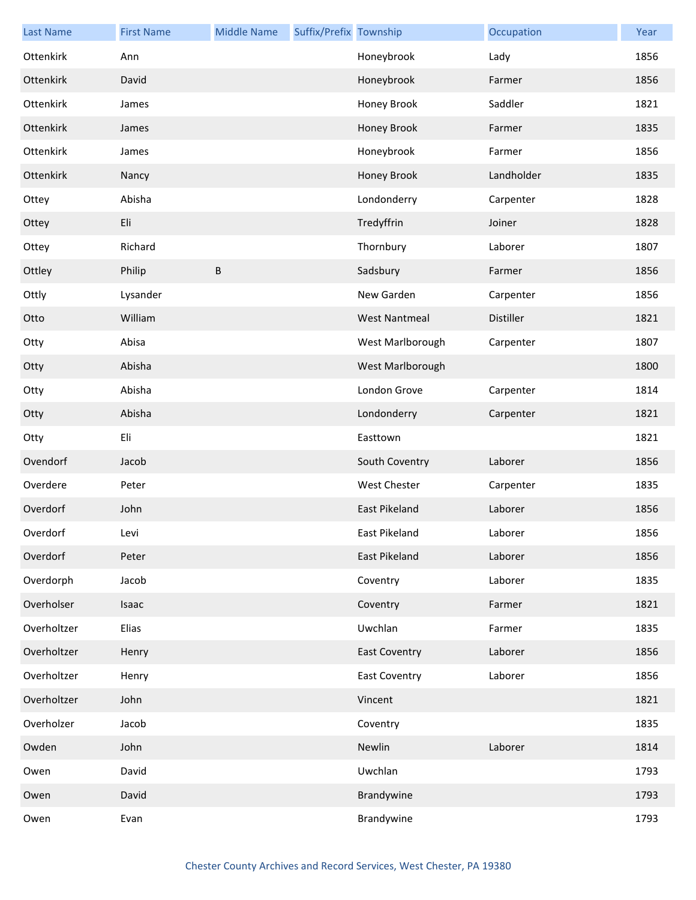| <b>Last Name</b> | <b>First Name</b> | <b>Middle Name</b> | Suffix/Prefix Township |                      | Occupation | Year |
|------------------|-------------------|--------------------|------------------------|----------------------|------------|------|
| Ottenkirk        | Ann               |                    |                        | Honeybrook           | Lady       | 1856 |
| Ottenkirk        | David             |                    |                        | Honeybrook           | Farmer     | 1856 |
| Ottenkirk        | James             |                    |                        | Honey Brook          | Saddler    | 1821 |
| Ottenkirk        | James             |                    |                        | Honey Brook          | Farmer     | 1835 |
| Ottenkirk        | James             |                    |                        | Honeybrook           | Farmer     | 1856 |
| Ottenkirk        | Nancy             |                    |                        | Honey Brook          | Landholder | 1835 |
| Ottey            | Abisha            |                    |                        | Londonderry          | Carpenter  | 1828 |
| Ottey            | Eli               |                    |                        | Tredyffrin           | Joiner     | 1828 |
| Ottey            | Richard           |                    |                        | Thornbury            | Laborer    | 1807 |
| Ottley           | Philip            | Β                  |                        | Sadsbury             | Farmer     | 1856 |
| Ottly            | Lysander          |                    |                        | New Garden           | Carpenter  | 1856 |
| Otto             | William           |                    |                        | <b>West Nantmeal</b> | Distiller  | 1821 |
| Otty             | Abisa             |                    |                        | West Marlborough     | Carpenter  | 1807 |
| Otty             | Abisha            |                    |                        | West Marlborough     |            | 1800 |
| Otty             | Abisha            |                    |                        | London Grove         | Carpenter  | 1814 |
| Otty             | Abisha            |                    |                        | Londonderry          | Carpenter  | 1821 |
| Otty             | Eli               |                    |                        | Easttown             |            | 1821 |
| Ovendorf         | Jacob             |                    |                        | South Coventry       | Laborer    | 1856 |
| Overdere         | Peter             |                    |                        | West Chester         | Carpenter  | 1835 |
| Overdorf         | John              |                    |                        | East Pikeland        | Laborer    | 1856 |
| Overdorf         | Levi              |                    |                        | East Pikeland        | Laborer    | 1856 |
| Overdorf         | Peter             |                    |                        | East Pikeland        | Laborer    | 1856 |
| Overdorph        | Jacob             |                    |                        | Coventry             | Laborer    | 1835 |
| Overholser       | Isaac             |                    |                        | Coventry             | Farmer     | 1821 |
| Overholtzer      | Elias             |                    |                        | Uwchlan              | Farmer     | 1835 |
| Overholtzer      | Henry             |                    |                        | <b>East Coventry</b> | Laborer    | 1856 |
| Overholtzer      | Henry             |                    |                        | <b>East Coventry</b> | Laborer    | 1856 |
| Overholtzer      | John              |                    |                        | Vincent              |            | 1821 |
| Overholzer       | Jacob             |                    |                        | Coventry             |            | 1835 |
| Owden            | John              |                    |                        | Newlin               | Laborer    | 1814 |
| Owen             | David             |                    |                        | Uwchlan              |            | 1793 |
| Owen             | David             |                    |                        | Brandywine           |            | 1793 |
| Owen             | Evan              |                    |                        | Brandywine           |            | 1793 |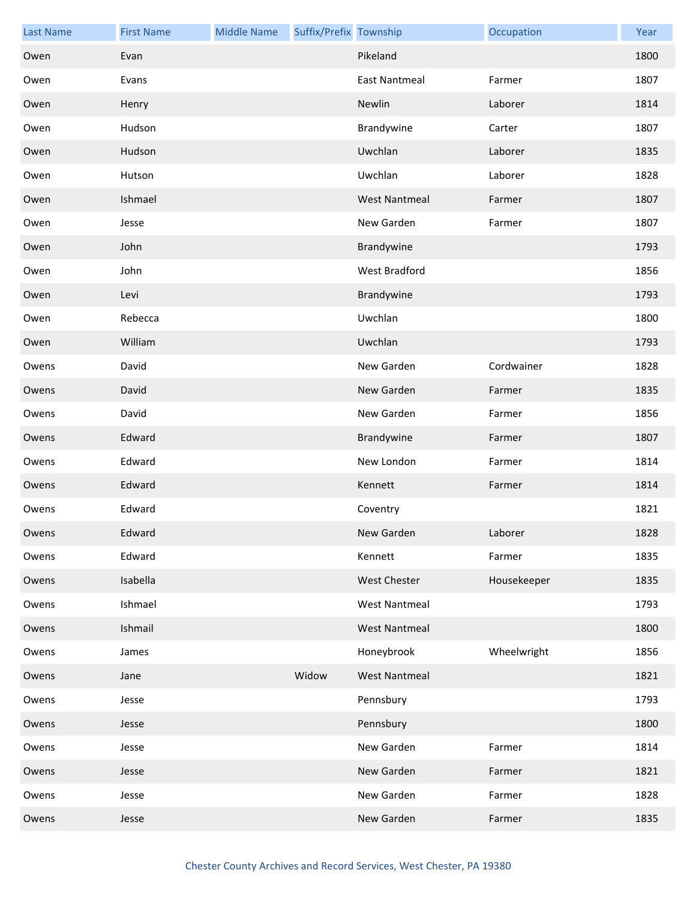| <b>Last Name</b> | <b>First Name</b> | <b>Middle Name</b> | Suffix/Prefix Township |                      | Occupation  | Year |
|------------------|-------------------|--------------------|------------------------|----------------------|-------------|------|
| Owen             | Evan              |                    |                        | Pikeland             |             | 1800 |
| Owen             | Evans             |                    |                        | <b>East Nantmeal</b> | Farmer      | 1807 |
| Owen             | Henry             |                    |                        | Newlin               | Laborer     | 1814 |
| Owen             | Hudson            |                    |                        | Brandywine           | Carter      | 1807 |
| Owen             | Hudson            |                    |                        | Uwchlan              | Laborer     | 1835 |
| Owen             | Hutson            |                    |                        | Uwchlan              | Laborer     | 1828 |
| Owen             | Ishmael           |                    |                        | <b>West Nantmeal</b> | Farmer      | 1807 |
| Owen             | Jesse             |                    |                        | New Garden           | Farmer      | 1807 |
| Owen             | John              |                    |                        | Brandywine           |             | 1793 |
| Owen             | John              |                    |                        | West Bradford        |             | 1856 |
| Owen             | Levi              |                    |                        | Brandywine           |             | 1793 |
| Owen             | Rebecca           |                    |                        | Uwchlan              |             | 1800 |
| Owen             | William           |                    |                        | Uwchlan              |             | 1793 |
| Owens            | David             |                    |                        | New Garden           | Cordwainer  | 1828 |
| Owens            | David             |                    |                        | New Garden           | Farmer      | 1835 |
| Owens            | David             |                    |                        | New Garden           | Farmer      | 1856 |
| Owens            | Edward            |                    |                        | Brandywine           | Farmer      | 1807 |
| Owens            | Edward            |                    |                        | New London           | Farmer      | 1814 |
| Owens            | Edward            |                    |                        | Kennett              | Farmer      | 1814 |
| Owens            | Edward            |                    |                        | Coventry             |             | 1821 |
| Owens            | Edward            |                    |                        | New Garden           | Laborer     | 1828 |
| Owens            | Edward            |                    |                        | Kennett              | Farmer      | 1835 |
| Owens            | Isabella          |                    |                        | West Chester         | Housekeeper | 1835 |
| Owens            | Ishmael           |                    |                        | <b>West Nantmeal</b> |             | 1793 |
| Owens            | Ishmail           |                    |                        | <b>West Nantmeal</b> |             | 1800 |
| Owens            | James             |                    |                        | Honeybrook           | Wheelwright | 1856 |
| Owens            | Jane              |                    | Widow                  | <b>West Nantmeal</b> |             | 1821 |
| Owens            | Jesse             |                    |                        | Pennsbury            |             | 1793 |
| Owens            | Jesse             |                    |                        | Pennsbury            |             | 1800 |
| Owens            | Jesse             |                    |                        | New Garden           | Farmer      | 1814 |
| Owens            | Jesse             |                    |                        | New Garden           | Farmer      | 1821 |
| Owens            | Jesse             |                    |                        | New Garden           | Farmer      | 1828 |
| Owens            | Jesse             |                    |                        | New Garden           | Farmer      | 1835 |